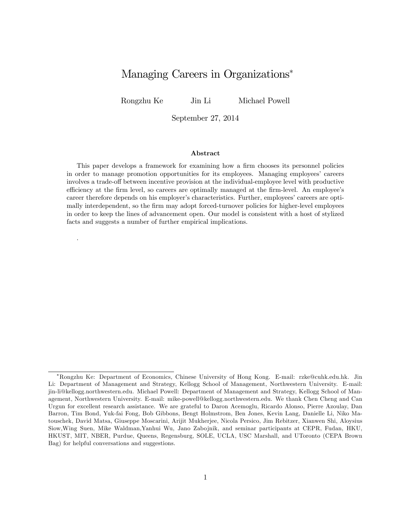# Managing Careers in Organizations

Rongzhu Ke Jin Li Michael Powell

.

September 27, 2014

#### Abstract

This paper develops a framework for examining how a firm chooses its personnel policies in order to manage promotion opportunities for its employees. Managing employeesí careers involves a trade-off between incentive provision at the individual-employee level with productive efficiency at the firm level, so careers are optimally managed at the firm-level. An employee's career therefore depends on his employer's characteristics. Further, employees' careers are optimally interdependent, so the firm may adopt forced-turnover policies for higher-level employees in order to keep the lines of advancement open. Our model is consistent with a host of stylized facts and suggests a number of further empirical implications.

Rongzhu Ke: Department of Economics, Chinese University of Hong Kong. E-mail: rzke@cuhk.edu.hk. Jin Li: Department of Management and Strategy, Kellogg School of Management, Northwestern University. E-mail: jin-li@kellogg.northwestern.edu. Michael Powell: Department of Management and Strategy, Kellogg School of Management, Northwestern University. E-mail: mike-powell@kellogg.northwestern.edu. We thank Chen Cheng and Can Urgun for excellent research assistance. We are grateful to Daron Acemoglu, Ricardo Alonso, Pierre Azoulay, Dan Barron, Tim Bond, Yuk-fai Fong, Bob Gibbons, Bengt Holmstrom, Ben Jones, Kevin Lang, Danielle Li, Niko Matouschek, David Matsa, Giuseppe Moscarini, Arijit Mukherjee, Nicola Persico, Jim Rebitzer, Xianwen Shi, Aloysius Siow,Wing Suen, Mike Waldman,Yanhui Wu, Jano Zabojnik, and seminar participants at CEPR, Fudan, HKU, HKUST, MIT, NBER, Purdue, Queens, Regensburg, SOLE, UCLA, USC Marshall, and UToronto (CEPA Brown Bag) for helpful conversations and suggestions.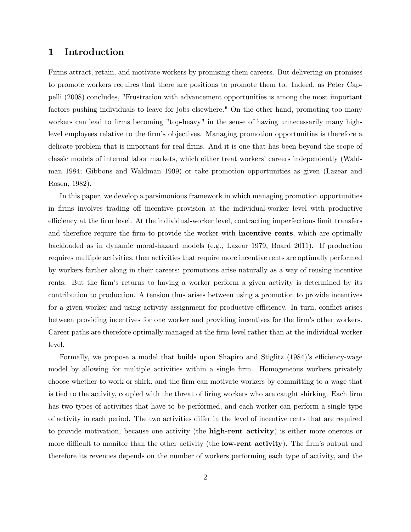## 1 Introduction

Firms attract, retain, and motivate workers by promising them careers. But delivering on promises to promote workers requires that there are positions to promote them to. Indeed, as Peter Cappelli (2008) concludes, "Frustration with advancement opportunities is among the most important factors pushing individuals to leave for jobs elsewhere." On the other hand, promoting too many workers can lead to firms becoming "top-heavy" in the sense of having unnecessarily many highlevel employees relative to the firm's objectives. Managing promotion opportunities is therefore a delicate problem that is important for real firms. And it is one that has been beyond the scope of classic models of internal labor markets, which either treat workers' careers independently (Waldman 1984; Gibbons and Waldman 1999) or take promotion opportunities as given (Lazear and Rosen, 1982).

In this paper, we develop a parsimonious framework in which managing promotion opportunities in firms involves trading off incentive provision at the individual-worker level with productive efficiency at the firm level. At the individual-worker level, contracting imperfections limit transfers and therefore require the firm to provide the worker with **incentive rents**, which are optimally backloaded as in dynamic moral-hazard models (e.g., Lazear 1979, Board 2011). If production requires multiple activities, then activities that require more incentive rents are optimally performed by workers farther along in their careers: promotions arise naturally as a way of reusing incentive rents. But the firm's returns to having a worker perform a given activity is determined by its contribution to production. A tension thus arises between using a promotion to provide incentives for a given worker and using activity assignment for productive efficiency. In turn, conflict arises between providing incentives for one worker and providing incentives for the firm's other workers. Career paths are therefore optimally managed at the firm-level rather than at the individual-worker level.

Formally, we propose a model that builds upon Shapiro and Stiglitz (1984)'s efficiency-wage model by allowing for multiple activities within a single firm. Homogeneous workers privately choose whether to work or shirk, and the Örm can motivate workers by committing to a wage that is tied to the activity, coupled with the threat of firing workers who are caught shirking. Each firm has two types of activities that have to be performed, and each worker can perform a single type of activity in each period. The two activities differ in the level of incentive rents that are required to provide motivation, because one activity (the **high-rent activity**) is either more onerous or more difficult to monitor than the other activity (the **low-rent activity**). The firm's output and therefore its revenues depends on the number of workers performing each type of activity, and the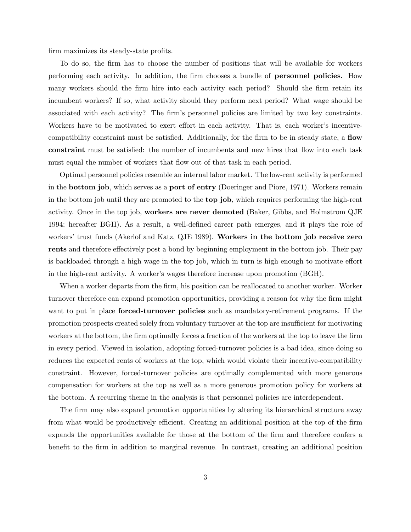firm maximizes its steady-state profits.

To do so, the firm has to choose the number of positions that will be available for workers performing each activity. In addition, the firm chooses a bundle of **personnel policies**. How many workers should the firm hire into each activity each period? Should the firm retain its incumbent workers? If so, what activity should they perform next period? What wage should be associated with each activity? The firm's personnel policies are limited by two key constraints. Workers have to be motivated to exert effort in each activity. That is, each worker's incentivecompatibility constraint must be satisfied. Additionally, for the firm to be in steady state, a **flow** constraint must be satisfied: the number of incumbents and new hires that flow into each task must equal the number of workers that flow out of that task in each period.

Optimal personnel policies resemble an internal labor market. The low-rent activity is performed in the bottom job, which serves as a port of entry (Doeringer and Piore, 1971). Workers remain in the bottom job until they are promoted to the top job, which requires performing the high-rent activity. Once in the top job, workers are never demoted (Baker, Gibbs, and Holmstrom QJE 1994; hereafter BGH). As a result, a well-defined career path emerges, and it plays the role of workers' trust funds (Akerlof and Katz, QJE 1989). Workers in the bottom job receive zero rents and therefore effectively post a bond by beginning employment in the bottom job. Their pay is backloaded through a high wage in the top job, which in turn is high enough to motivate effort in the high-rent activity. A worker's wages therefore increase upon promotion (BGH).

When a worker departs from the firm, his position can be reallocated to another worker. Worker turnover therefore can expand promotion opportunities, providing a reason for why the firm might want to put in place **forced-turnover policies** such as mandatory-retirement programs. If the promotion prospects created solely from voluntary turnover at the top are insufficient for motivating workers at the bottom, the firm optimally forces a fraction of the workers at the top to leave the firm in every period. Viewed in isolation, adopting forced-turnover policies is a bad idea, since doing so reduces the expected rents of workers at the top, which would violate their incentive-compatibility constraint. However, forced-turnover policies are optimally complemented with more generous compensation for workers at the top as well as a more generous promotion policy for workers at the bottom. A recurring theme in the analysis is that personnel policies are interdependent.

The firm may also expand promotion opportunities by altering its hierarchical structure away from what would be productively efficient. Creating an additional position at the top of the firm expands the opportunities available for those at the bottom of the firm and therefore confers a benefit to the firm in addition to marginal revenue. In contrast, creating an additional position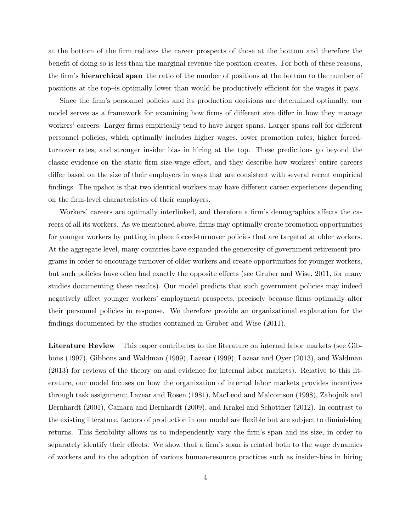at the bottom of the Örm reduces the career prospects of those at the bottom and therefore the benefit of doing so is less than the marginal revenue the position creates. For both of these reasons, the firm's **hierarchical span**-the ratio of the number of positions at the bottom to the number of positions at the top–is optimally lower than would be productively efficient for the wages it pays.

Since the firm's personnel policies and its production decisions are determined optimally, our model serves as a framework for examining how firms of different size differ in how they manage workers' careers. Larger firms empirically tend to have larger spans. Larger spans call for different personnel policies, which optimally includes higher wages, lower promotion rates, higher forcedturnover rates, and stronger insider bias in hiring at the top. These predictions go beyond the classic evidence on the static firm size-wage effect, and they describe how workers' entire careers differ based on the size of their employers in ways that are consistent with several recent empirical findings. The upshot is that two identical workers may have different career experiences depending on the Örm-level characteristics of their employers.

Workers' careers are optimally interlinked, and therefore a firm's demographics affects the careers of all its workers. As we mentioned above, firms may optimally create promotion opportunities for younger workers by putting in place forced-turnover policies that are targeted at older workers. At the aggregate level, many countries have expanded the generosity of government retirement programs in order to encourage turnover of older workers and create opportunities for younger workers, but such policies have often had exactly the opposite effects (see Gruber and Wise, 2011, for many studies documenting these results). Our model predicts that such government policies may indeed negatively affect younger workers' employment prospects, precisely because firms optimally alter their personnel policies in response. We therefore provide an organizational explanation for the findings documented by the studies contained in Gruber and Wise (2011).

Literature Review This paper contributes to the literature on internal labor markets (see Gibbons (1997), Gibbons and Waldman (1999), Lazear (1999), Lazear and Oyer (2013), and Waldman (2013) for reviews of the theory on and evidence for internal labor markets). Relative to this literature, our model focuses on how the organization of internal labor markets provides incentives through task assignment; Lazear and Rosen (1981), MacLeod and Malcomson (1998), Zabojnik and Bernhardt (2001), Camara and Bernhardt (2009), and Krakel and Schottner (2012). In contrast to the existing literature, factors of production in our model are áexible but are subject to diminishing returns. This flexibility allows us to independently vary the firm's span and its size, in order to separately identify their effects. We show that a firm's span is related both to the wage dynamics of workers and to the adoption of various human-resource practices such as insider-bias in hiring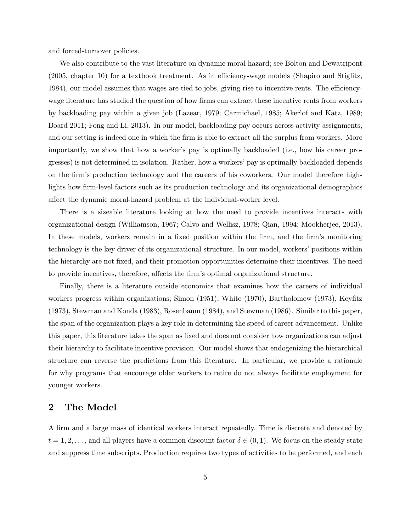and forced-turnover policies.

We also contribute to the vast literature on dynamic moral hazard; see Bolton and Dewatripont (2005, chapter 10) for a textbook treatment. As in efficiency-wage models (Shapiro and Stiglitz, 1984), our model assumes that wages are tied to jobs, giving rise to incentive rents. The efficiencywage literature has studied the question of how firms can extract these incentive rents from workers by backloading pay within a given job (Lazear, 1979; Carmichael, 1985; Akerlof and Katz, 1989; Board 2011; Fong and Li, 2013). In our model, backloading pay occurs across activity assignments, and our setting is indeed one in which the firm is able to extract all the surplus from workers. More importantly, we show that how a worker's pay is optimally backloaded (i.e., how his career progresses) is not determined in isolation. Rather, how a workers' pay is optimally backloaded depends on the Örmís production technology and the careers of his coworkers. Our model therefore highlights how firm-level factors such as its production technology and its organizational demographics affect the dynamic moral-hazard problem at the individual-worker level.

There is a sizeable literature looking at how the need to provide incentives interacts with organizational design (Williamson, 1967; Calvo and Wellisz, 1978; Qian, 1994; Mookherjee, 2013). In these models, workers remain in a fixed position within the firm, and the firm's monitoring technology is the key driver of its organizational structure. In our model, workers' positions within the hierarchy are not Öxed, and their promotion opportunities determine their incentives. The need to provide incentives, therefore, affects the firm's optimal organizational structure.

Finally, there is a literature outside economics that examines how the careers of individual workers progress within organizations; Simon (1951), White (1970), Bartholomew (1973), Keyfitz (1973), Stewman and Konda (1983), Rosenbaum (1984), and Stewman (1986). Similar to this paper, the span of the organization plays a key role in determining the speed of career advancement. Unlike this paper, this literature takes the span as fixed and does not consider how organizations can adjust their hierarchy to facilitate incentive provision. Our model shows that endogenizing the hierarchical structure can reverse the predictions from this literature. In particular, we provide a rationale for why programs that encourage older workers to retire do not always facilitate employment for younger workers.

# 2 The Model

A Örm and a large mass of identical workers interact repeatedly. Time is discrete and denoted by  $t = 1, 2, \ldots$ , and all players have a common discount factor  $\delta \in (0, 1)$ . We focus on the steady state and suppress time subscripts. Production requires two types of activities to be performed, and each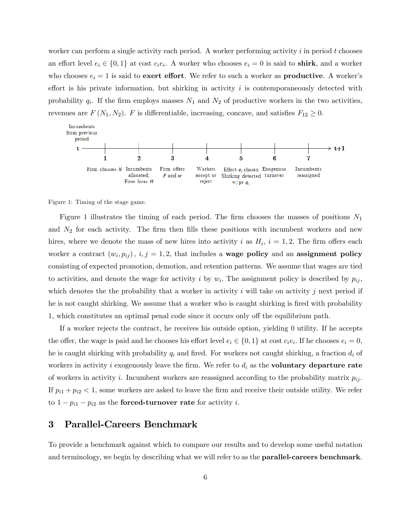worker can perform a single activity each period. A worker performing activity  $i$  in period  $t$  chooses an effort level  $e_i \in \{0,1\}$  at cost  $c_i e_i$ . A worker who chooses  $e_i = 0$  is said to **shirk**, and a worker who chooses  $e_i = 1$  is said to **exert effort**. We refer to such a worker as **productive**. A worker's effort is his private information, but shirking in activity  $i$  is contemporaneously detected with probability  $q_i$ . If the firm employs masses  $N_1$  and  $N_2$  of productive workers in the two activities, revenues are  $F(N_1, N_2)$ . F is differentiable, increasing, concave, and satisfies  $F_{12} \geq 0$ .



Figure 1: Timing of the stage game.

Figure 1 illustrates the timing of each period. The firm chooses the masses of positions  $N_1$ and  $N_2$  for each activity. The firm then fills these positions with incumbent workers and new hires, where we denote the mass of new hires into activity i as  $H_i$ ,  $i = 1, 2$ . The firm offers each worker a contract  $(w_i, p_{ij}), i, j = 1, 2$ , that includes a **wage policy** and an **assignment policy** consisting of expected promotion, demotion, and retention patterns. We assume that wages are tied to activities, and denote the wage for activity i by  $w_i$ . The assignment policy is described by  $p_{ij}$ , which denotes the the probability that a worker in activity  $i$  will take on activity  $j$  next period if he is not caught shirking. We assume that a worker who is caught shirking is fired with probability 1, which constitutes an optimal penal code since it occurs only off the equilibrium path.

If a worker rejects the contract, he receives his outside option, yielding 0 utility. If he accepts the offer, the wage is paid and he chooses his effort level  $e_i \in \{0, 1\}$  at cost  $c_i e_i$ . If he chooses  $e_i = 0$ , he is caught shirking with probability  $q_i$  and fired. For workers not caught shirking, a fraction  $d_i$  of workers in activity i exogenously leave the firm. We refer to  $d_i$  as the **voluntary departure rate** of workers in activity i. Incumbent workers are reassigned according to the probability matrix  $p_{ij}$ . If  $p_{i1} + p_{i2} < 1$ , some workers are asked to leave the firm and receive their outside utility. We refer to  $1 - p_{i1} - p_{i2}$  as the **forced-turnover rate** for activity *i*.

## 3 Parallel-Careers Benchmark

To provide a benchmark against which to compare our results and to develop some useful notation and terminology, we begin by describing what we will refer to as the **parallel-careers benchmark**.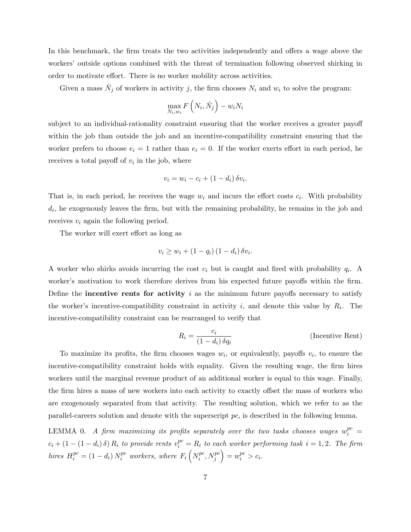In this benchmark, the firm treats the two activities independently and offers a wage above the workers' outside options combined with the threat of termination following observed shirking in order to motivate effort. There is no worker mobility across activities.

Given a mass  $\hat{N}_j$  of workers in activity j, the firm chooses  $N_i$  and  $w_i$  to solve the program:

$$
\max_{N_i, w_i} F\left(N_i, \hat{N}_j\right) - w_i N_i
$$

subject to an individual-rationality constraint ensuring that the worker receives a greater payoff within the job than outside the job and an incentive-compatibility constraint ensuring that the worker prefers to choose  $e_i = 1$  rather than  $e_i = 0$ . If the worker exerts effort in each period, he receives a total payoff of  $v_i$  in the job, where

$$
v_i = w_i - c_i + (1 - d_i) \, \delta v_i.
$$

That is, in each period, he receives the wage  $w_i$  and incurs the effort costs  $c_i$ . With probability  $d_i$ , he exogenously leaves the firm, but with the remaining probability, he remains in the job and receives  $v_i$  again the following period.

The worker will exert effort as long as

$$
v_i \ge w_i + (1 - q_i) (1 - d_i) \, \delta v_i.
$$

A worker who shirks avoids incurring the cost  $c_i$  but is caught and fired with probability  $q_i$ . A worker's motivation to work therefore derives from his expected future payoffs within the firm. Define the **incentive rents for activity** i as the minimum future payoffs necessary to satisfy the worker's incentive-compatibility constraint in activity  $i$ , and denote this value by  $R_i$ . The incentive-compatibility constraint can be rearranged to verify that

$$
R_i = \frac{c_i}{(1 - d_i) \,\delta q_i}
$$
 (Incentive Rent)

To maximize its profits, the firm chooses wages  $w_i$ , or equivalently, payoffs  $v_i$ , to ensure the incentive-compatibility constraint holds with equality. Given the resulting wage, the firm hires workers until the marginal revenue product of an additional worker is equal to this wage. Finally, the firm hires a mass of new workers into each activity to exactly offset the mass of workers who are exogenously separated from that activity. The resulting solution, which we refer to as the parallel-careers solution and denote with the superscript pc, is described in the following lemma.

LEMMA 0. A firm maximizing its profits separately over the two tasks chooses wages  $w_i^{pc} =$  $c_i + (1 - (1 - d_i) \delta) R_i$  to provide rents  $v_i^{pc} = R_i$  to each worker performing task  $i = 1, 2$ . The firm hires  $H_i^{pc} = (1 - d_i) N_i^{pc}$  workers, where  $F_i\left(N_i^{pc}\right)$  $i^{pc}, N_j^{pc}$  $= w_i^{pc} > c_i.$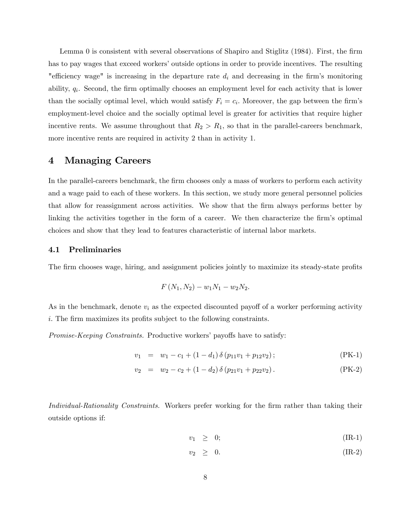Lemma 0 is consistent with several observations of Shapiro and Stiglitz  $(1984)$ . First, the firm has to pay wages that exceed workers' outside options in order to provide incentives. The resulting "efficiency wage" is increasing in the departure rate  $d_i$  and decreasing in the firm's monitoring ability,  $q_i$ . Second, the firm optimally chooses an employment level for each activity that is lower than the socially optimal level, which would satisfy  $F_i = c_i$ . Moreover, the gap between the firm's employment-level choice and the socially optimal level is greater for activities that require higher incentive rents. We assume throughout that  $R_2 > R_1$ , so that in the parallel-careers benchmark, more incentive rents are required in activity 2 than in activity 1.

# 4 Managing Careers

In the parallel-careers benchmark, the firm chooses only a mass of workers to perform each activity and a wage paid to each of these workers. In this section, we study more general personnel policies that allow for reassignment across activities. We show that the firm always performs better by linking the activities together in the form of a career. We then characterize the firm's optimal choices and show that they lead to features characteristic of internal labor markets.

### 4.1 Preliminaries

The firm chooses wage, hiring, and assignment policies jointly to maximize its steady-state profits

$$
F(N_1, N_2) - w_1 N_1 - w_2 N_2.
$$

As in the benchmark, denote  $v_i$  as the expected discounted payoff of a worker performing activity i. The firm maximizes its profits subject to the following constraints.

Promise-Keeping Constraints. Productive workers' payoffs have to satisfy:

$$
v_1 = w_1 - c_1 + (1 - d_1) \, \delta \left( p_{11} v_1 + p_{12} v_2 \right); \tag{PK-1}
$$

$$
v_2 = w_2 - c_2 + (1 - d_2) \, \delta \left( p_{21} v_1 + p_{22} v_2 \right). \tag{PK-2}
$$

Individual-Rationality Constraints. Workers prefer working for the firm rather than taking their outside options if:

$$
v_1 \geq 0; \hspace{1cm} (\text{IR-1})
$$

$$
v_2 \geq 0. \tag{IR-2}
$$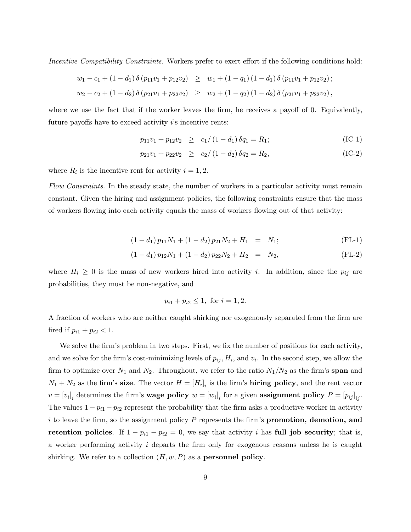Incentive-Compatibility Constraints. Workers prefer to exert effort if the following conditions hold:

$$
w_1 - c_1 + (1 - d_1) \delta (p_{11}v_1 + p_{12}v_2) \geq w_1 + (1 - q_1) (1 - d_1) \delta (p_{11}v_1 + p_{12}v_2);
$$
  

$$
w_2 - c_2 + (1 - d_2) \delta (p_{21}v_1 + p_{22}v_2) \geq w_2 + (1 - q_2) (1 - d_2) \delta (p_{21}v_1 + p_{22}v_2),
$$

where we use the fact that if the worker leaves the firm, he receives a payoff of  $0$ . Equivalently, future payoffs have to exceed activity  $i$ 's incentive rents:

$$
p_{11}v_1 + p_{12}v_2 \ge c_1/(1 - d_1)\delta q_1 = R_1;
$$
 (IC-1)

$$
p_{21}v_1 + p_{22}v_2 \ge c_2/(1-d_2)\delta q_2 = R_2, \tag{IC-2}
$$

where  $R_i$  is the incentive rent for activity  $i = 1, 2$ .

Flow Constraints. In the steady state, the number of workers in a particular activity must remain constant. Given the hiring and assignment policies, the following constraints ensure that the mass of workers áowing into each activity equals the mass of workers áowing out of that activity:

$$
(1 - d_1) p_{11} N_1 + (1 - d_2) p_{21} N_2 + H_1 = N_1;
$$
 (FL-1)

$$
(1 - d_1) p_{12} N_1 + (1 - d_2) p_{22} N_2 + H_2 = N_2, \tag{FL-2}
$$

where  $H_i \geq 0$  is the mass of new workers hired into activity i. In addition, since the  $p_{ij}$  are probabilities, they must be non-negative, and

$$
p_{i1} + p_{i2} \le 1
$$
, for  $i = 1, 2$ .

A fraction of workers who are neither caught shirking nor exogenously separated from the firm are fired if  $p_{i1} + p_{i2} < 1$ .

We solve the firm's problem in two steps. First, we fix the number of positions for each activity, and we solve for the firm's cost-minimizing levels of  $p_{ij}, H_i$ , and  $v_i$ . In the second step, we allow the firm to optimize over  $N_1$  and  $N_2$ . Throughout, we refer to the ratio  $N_1/N_2$  as the firm's span and  $N_1 + N_2$  as the firm's **size**. The vector  $H = [H_i]_i$  is the firm's **hiring policy**, and the rent vector  $v = [v_i]_i$  determines the firm's wage policy  $w = [w_i]_i$  for a given assignment policy  $P = [p_{ij}]_{ij}$ . The values  $1 - p_{i1} - p_{i2}$  represent the probability that the firm asks a productive worker in activity i to leave the firm, so the assignment policy  $P$  represents the firm's **promotion, demotion, and** retention policies. If  $1 - p_{i1} - p_{i2} = 0$ , we say that activity i has full job security; that is, a worker performing activity  $i$  departs the firm only for exogenous reasons unless he is caught shirking. We refer to a collection  $(H, w, P)$  as a **personnel policy**.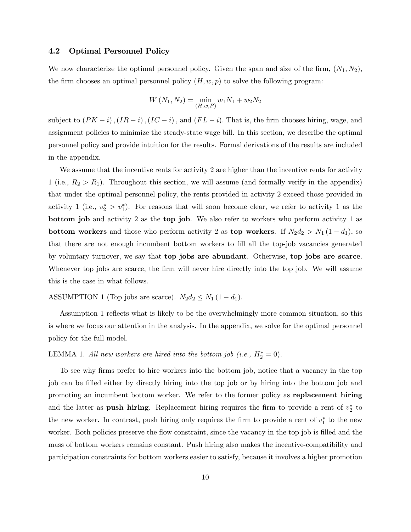## 4.2 Optimal Personnel Policy

We now characterize the optimal personnel policy. Given the span and size of the firm,  $(N_1, N_2)$ , the firm chooses an optimal personnel policy  $(H, w, p)$  to solve the following program:

$$
W(N_1, N_2) = \min_{(H, w, P)} w_1 N_1 + w_2 N_2
$$

subject to  $(PK - i)$ ,  $(IR - i)$ ,  $(IC - i)$ , and  $(FL - i)$ . That is, the firm chooses hiring, wage, and assignment policies to minimize the steady-state wage bill. In this section, we describe the optimal personnel policy and provide intuition for the results. Formal derivations of the results are included in the appendix.

We assume that the incentive rents for activity 2 are higher than the incentive rents for activity 1 (i.e.,  $R_2 > R_1$ ). Throughout this section, we will assume (and formally verify in the appendix) that under the optimal personnel policy, the rents provided in activity 2 exceed those provided in activity 1 (i.e.,  $v_2^* > v_1^*$ ). For reasons that will soon become clear, we refer to activity 1 as the bottom job and activity 2 as the top job. We also refer to workers who perform activity 1 as **bottom workers** and those who perform activity 2 as **top workers**. If  $N_2d_2 > N_1(1-d_1)$ , so that there are not enough incumbent bottom workers to fill all the top-job vacancies generated by voluntary turnover, we say that top jobs are abundant. Otherwise, top jobs are scarce. Whenever top jobs are scarce, the firm will never hire directly into the top job. We will assume this is the case in what follows.

ASSUMPTION 1 (Top jobs are scarce).  $N_2d_2 \leq N_1 (1 - d_1)$ .

Assumption 1 reflects what is likely to be the overwhelmingly more common situation, so this is where we focus our attention in the analysis. In the appendix, we solve for the optimal personnel policy for the full model.

# LEMMA 1. All new workers are hired into the bottom job (i.e.,  $H_2^* = 0$ ).

To see why firms prefer to hire workers into the bottom job, notice that a vacancy in the top job can be Ölled either by directly hiring into the top job or by hiring into the bottom job and promoting an incumbent bottom worker. We refer to the former policy as replacement hiring and the latter as **push hiring**. Replacement hiring requires the firm to provide a rent of  $v_2^*$  to the new worker. In contrast, push hiring only requires the firm to provide a rent of  $v_1^*$  to the new worker. Both policies preserve the flow constraint, since the vacancy in the top job is filled and the mass of bottom workers remains constant. Push hiring also makes the incentive-compatibility and participation constraints for bottom workers easier to satisfy, because it involves a higher promotion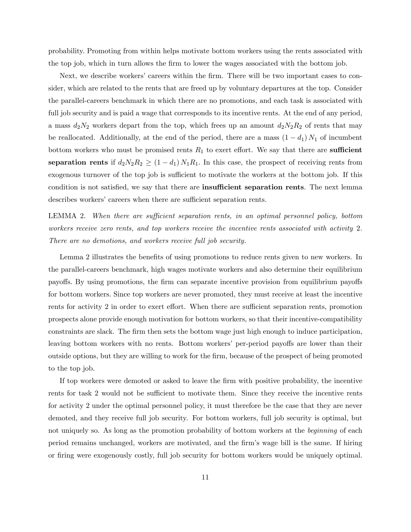probability. Promoting from within helps motivate bottom workers using the rents associated with the top job, which in turn allows the firm to lower the wages associated with the bottom job.

Next, we describe workers' careers within the firm. There will be two important cases to consider, which are related to the rents that are freed up by voluntary departures at the top. Consider the parallel-careers benchmark in which there are no promotions, and each task is associated with full job security and is paid a wage that corresponds to its incentive rents. At the end of any period, a mass  $d_2N_2$  workers depart from the top, which frees up an amount  $d_2N_2R_2$  of rents that may be reallocated. Additionally, at the end of the period, there are a mass  $(1 - d_1) N_1$  of incumbent bottom workers who must be promised rents  $R_1$  to exert effort. We say that there are **sufficient** separation rents if  $d_2N_2R_2 \geq (1 - d_1) N_1R_1$ . In this case, the prospect of receiving rents from exogenous turnover of the top job is sufficient to motivate the workers at the bottom job. If this condition is not satisfied, we say that there are **insufficient separation rents**. The next lemma describes workers' careers when there are sufficient separation rents.

LEMMA 2. When there are sufficient separation rents, in an optimal personnel policy, bottom workers receive zero rents, and top workers receive the incentive rents associated with activity 2. There are no demotions, and workers receive full job security.

Lemma 2 illustrates the benefits of using promotions to reduce rents given to new workers. In the parallel-careers benchmark, high wages motivate workers and also determine their equilibrium payoffs. By using promotions, the firm can separate incentive provision from equilibrium payoffs for bottom workers. Since top workers are never promoted, they must receive at least the incentive rents for activity 2 in order to exert effort. When there are sufficient separation rents, promotion prospects alone provide enough motivation for bottom workers, so that their incentive-compatibility constraints are slack. The firm then sets the bottom wage just high enough to induce participation, leaving bottom workers with no rents. Bottom workers' per-period payoffs are lower than their outside options, but they are willing to work for the Örm, because of the prospect of being promoted to the top job.

If top workers were demoted or asked to leave the Örm with positive probability, the incentive rents for task 2 would not be sufficient to motivate them. Since they receive the incentive rents for activity 2 under the optimal personnel policy, it must therefore be the case that they are never demoted, and they receive full job security. For bottom workers, full job security is optimal, but not uniquely so. As long as the promotion probability of bottom workers at the *beginning* of each period remains unchanged, workers are motivated, and the Örmís wage bill is the same. If hiring or Öring were exogenously costly, full job security for bottom workers would be uniquely optimal.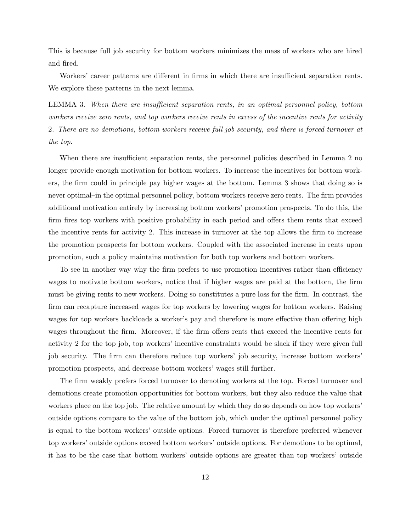This is because full job security for bottom workers minimizes the mass of workers who are hired and fired.

Workers' career patterns are different in firms in which there are insufficient separation rents. We explore these patterns in the next lemma.

LEMMA 3. When there are insufficient separation rents, in an optimal personnel policy, bottom workers receive zero rents, and top workers receive rents in excess of the incentive rents for activity 2. There are no demotions, bottom workers receive full job security, and there is forced turnover at the top.

When there are insufficient separation rents, the personnel policies described in Lemma 2 no longer provide enough motivation for bottom workers. To increase the incentives for bottom workers, the firm could in principle pay higher wages at the bottom. Lemma 3 shows that doing so is never optimal—in the optimal personnel policy, bottom workers receive zero rents. The firm provides additional motivation entirely by increasing bottom workers' promotion prospects. To do this, the firm fires top workers with positive probability in each period and offers them rents that exceed the incentive rents for activity 2. This increase in turnover at the top allows the firm to increase the promotion prospects for bottom workers. Coupled with the associated increase in rents upon promotion, such a policy maintains motivation for both top workers and bottom workers.

To see in another way why the firm prefers to use promotion incentives rather than efficiency wages to motivate bottom workers, notice that if higher wages are paid at the bottom, the firm must be giving rents to new workers. Doing so constitutes a pure loss for the firm. In contrast, the firm can recapture increased wages for top workers by lowering wages for bottom workers. Raising wages for top workers backloads a worker's pay and therefore is more effective than offering high wages throughout the firm. Moreover, if the firm offers rents that exceed the incentive rents for activity 2 for the top job, top workers' incentive constraints would be slack if they were given full job security. The firm can therefore reduce top workers' job security, increase bottom workers' promotion prospects, and decrease bottom workers' wages still further.

The firm weakly prefers forced turnover to demoting workers at the top. Forced turnover and demotions create promotion opportunities for bottom workers, but they also reduce the value that workers place on the top job. The relative amount by which they do so depends on how top workers outside options compare to the value of the bottom job, which under the optimal personnel policy is equal to the bottom workers' outside options. Forced turnover is therefore preferred whenever top workers' outside options exceed bottom workers' outside options. For demotions to be optimal, it has to be the case that bottom workers' outside options are greater than top workers' outside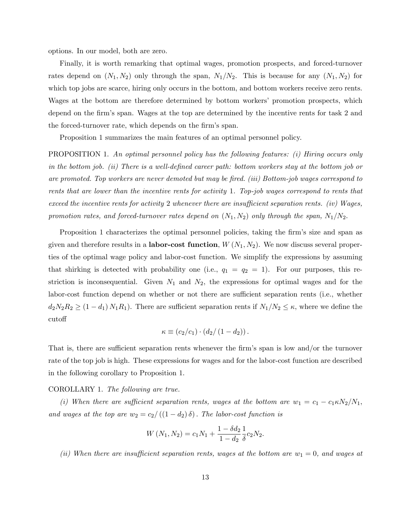options. In our model, both are zero.

Finally, it is worth remarking that optimal wages, promotion prospects, and forced-turnover rates depend on  $(N_1, N_2)$  only through the span,  $N_1/N_2$ . This is because for any  $(N_1, N_2)$  for which top jobs are scarce, hiring only occurs in the bottom, and bottom workers receive zero rents. Wages at the bottom are therefore determined by bottom workers' promotion prospects, which depend on the firm's span. Wages at the top are determined by the incentive rents for task 2 and the forced-turnover rate, which depends on the firm's span.

Proposition 1 summarizes the main features of an optimal personnel policy.

PROPOSITION 1. An optimal personnel policy has the following features: (i) Hiring occurs only in the bottom job. (ii) There is a well-defined career path: bottom workers stay at the bottom job or are promoted. Top workers are never demoted but may be fired. (iii) Bottom-job wages correspond to rents that are lower than the incentive rents for activity 1. Top-job wages correspond to rents that exceed the incentive rents for activity 2 whenever there are insufficient separation rents. (iv) Wages, promotion rates, and forced-turnover rates depend on  $(N_1, N_2)$  only through the span,  $N_1/N_2$ .

Proposition 1 characterizes the optimal personnel policies, taking the firm's size and span as given and therefore results in a **labor-cost function**,  $W(N_1, N_2)$ . We now discuss several properties of the optimal wage policy and labor-cost function. We simplify the expressions by assuming that shirking is detected with probability one (i.e.,  $q_1 = q_2 = 1$ ). For our purposes, this restriction is inconsequential. Given  $N_1$  and  $N_2$ , the expressions for optimal wages and for the labor-cost function depend on whether or not there are sufficient separation rents (i.e., whether  $d_2N_2R_2 \geq (1-d_1)N_1R_1$ . There are sufficient separation rents if  $N_1/N_2 \leq \kappa$ , where we define the cutoff

$$
\kappa \equiv (c_2/c_1) \cdot (d_2/(1-d_2)).
$$

That is, there are sufficient separation rents whenever the firm's span is low and/or the turnover rate of the top job is high. These expressions for wages and for the labor-cost function are described in the following corollary to Proposition 1.

#### COROLLARY 1. The following are true.

(i) When there are sufficient separation rents, wages at the bottom are  $w_1 = c_1 - c_1 \kappa N_2/N_1$ , and wages at the top are  $w_2 = c_2/((1 - d_2) \delta)$ . The labor-cost function is

$$
W(N_1, N_2) = c_1 N_1 + \frac{1 - \delta d_2}{1 - d_2} \frac{1}{\delta} c_2 N_2.
$$

(ii) When there are insufficient separation rents, wages at the bottom are  $w_1 = 0$ , and wages at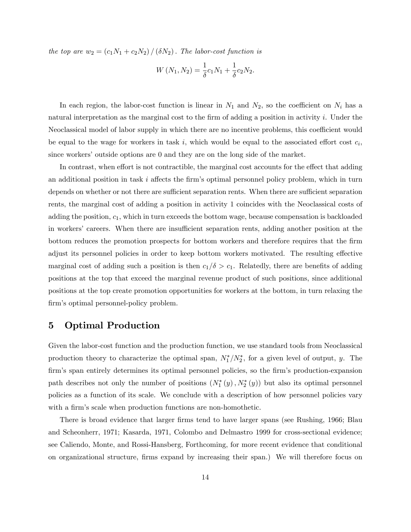the top are  $w_2 = (c_1N_1 + c_2N_2)/(\delta N_2)$ . The labor-cost function is

$$
W(N_1, N_2) = \frac{1}{\delta} c_1 N_1 + \frac{1}{\delta} c_2 N_2.
$$

In each region, the labor-cost function is linear in  $N_1$  and  $N_2$ , so the coefficient on  $N_i$  has a natural interpretation as the marginal cost to the firm of adding a position in activity  $i$ . Under the Neoclassical model of labor supply in which there are no incentive problems, this coefficient would be equal to the wage for workers in task i, which would be equal to the associated effort cost  $c_i$ , since workers' outside options are 0 and they are on the long side of the market.

In contrast, when effort is not contractible, the marginal cost accounts for the effect that adding an additional position in task  $i$  affects the firm's optimal personnel policy problem, which in turn depends on whether or not there are sufficient separation rents. When there are sufficient separation rents, the marginal cost of adding a position in activity 1 coincides with the Neoclassical costs of adding the position,  $c_1$ , which in turn exceeds the bottom wage, because compensation is backloaded in workers' careers. When there are insufficient separation rents, adding another position at the bottom reduces the promotion prospects for bottom workers and therefore requires that the firm adjust its personnel policies in order to keep bottom workers motivated. The resulting effective marginal cost of adding such a position is then  $c_1/\delta > c_1$ . Relatedly, there are benefits of adding positions at the top that exceed the marginal revenue product of such positions, since additional positions at the top create promotion opportunities for workers at the bottom, in turn relaxing the firm's optimal personnel-policy problem.

# 5 Optimal Production

Given the labor-cost function and the production function, we use standard tools from Neoclassical production theory to characterize the optimal span,  $N_1^*/N_2^*$ , for a given level of output, y. The firm's span entirely determines its optimal personnel policies, so the firm's production-expansion path describes not only the number of positions  $(N_1^*(y), N_2^*(y))$  but also its optimal personnel policies as a function of its scale. We conclude with a description of how personnel policies vary with a firm's scale when production functions are non-homothetic.

There is broad evidence that larger firms tend to have larger spans (see Rushing, 1966; Blau and Scheonherr, 1971; Kasarda, 1971, Colombo and Delmastro 1999 for cross-sectional evidence; see Caliendo, Monte, and Rossi-Hansberg, Forthcoming, for more recent evidence that conditional on organizational structure, firms expand by increasing their span.) We will therefore focus on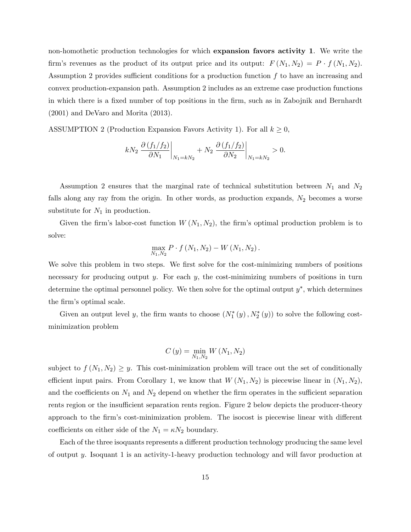non-homothetic production technologies for which expansion favors activity 1. We write the firm's revenues as the product of its output price and its output:  $F(N_1, N_2) = P \cdot f(N_1, N_2)$ . Assumption 2 provides sufficient conditions for a production function  $f$  to have an increasing and convex production-expansion path. Assumption 2 includes as an extreme case production functions in which there is a fixed number of top positions in the firm, such as in Zabojnik and Bernhardt (2001) and DeVaro and Morita (2013).

ASSUMPTION 2 (Production Expansion Favors Activity 1). For all  $k \geq 0$ ,

$$
kN_{2}\left.\frac{\partial\left(f_{1}/f_{2}\right)}{\partial N_{1}}\right|_{N_{1}=kN_{2}}+N_{2}\left.\frac{\partial\left(f_{1}/f_{2}\right)}{\partial N_{2}}\right|_{N_{1}=kN_{2}}>0.
$$

Assumption 2 ensures that the marginal rate of technical substitution between  $N_1$  and  $N_2$ falls along any ray from the origin. In other words, as production expands,  $N_2$  becomes a worse substitute for  $N_1$  in production.

Given the firm's labor-cost function  $W(N_1, N_2)$ , the firm's optimal production problem is to solve:

$$
\max_{N_1,N_2} P \cdot f(N_1,N_2) - W(N_1,N_2).
$$

We solve this problem in two steps. We first solve for the cost-minimizing numbers of positions necessary for producing output  $y$ . For each  $y$ , the cost-minimizing numbers of positions in turn determine the optimal personnel policy. We then solve for the optimal output  $y^*$ , which determines the firm's optimal scale.

Given an output level y, the firm wants to choose  $(N_1^*(y), N_2^*(y))$  to solve the following costminimization problem

$$
C(y) = \min_{N_1,N_2} W(N_1,N_2)
$$

subject to  $f(N_1, N_2) \geq y$ . This cost-minimization problem will trace out the set of conditionally efficient input pairs. From Corollary 1, we know that  $W(N_1, N_2)$  is piecewise linear in  $(N_1, N_2)$ , and the coefficients on  $N_1$  and  $N_2$  depend on whether the firm operates in the sufficient separation rents region or the insufficient separation rents region. Figure 2 below depicts the producer-theory approach to the firm's cost-minimization problem. The isocost is piecewise linear with different coefficients on either side of the  $N_1 = \kappa N_2$  boundary.

Each of the three isoquants represents a different production technology producing the same level of output y. Isoquant 1 is an activity-1-heavy production technology and will favor production at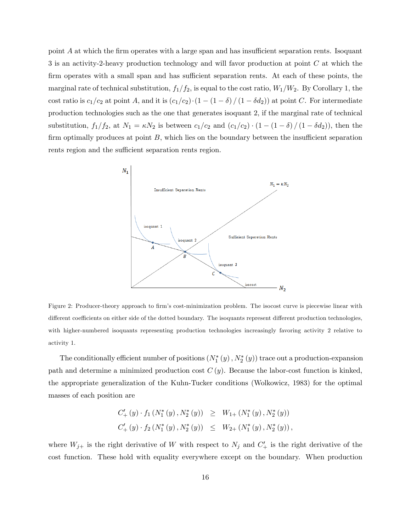point  $A$  at which the firm operates with a large span and has insufficient separation rents. Isoquant 3 is an activity-2-heavy production technology and will favor production at point C at which the firm operates with a small span and has sufficient separation rents. At each of these points, the marginal rate of technical substitution,  $f_1/f_2$ , is equal to the cost ratio,  $W_1/W_2$ . By Corollary 1, the cost ratio is  $c_1/c_2$  at point A, and it is  $(c_1/c_2)\cdot(1 - (1 - \delta)/(1 - \delta d_2))$  at point C. For intermediate production technologies such as the one that generates isoquant 2, if the marginal rate of technical substitution,  $f_1/f_2$ , at  $N_1 = \kappa N_2$  is between  $c_1/c_2$  and  $(c_1/c_2) \cdot (1 - (1 - \delta) / (1 - \delta d_2))$ , then the firm optimally produces at point  $B$ , which lies on the boundary between the insufficient separation rents region and the sufficient separation rents region.



Figure 2: Producer-theory approach to firm's cost-minimization problem. The isocost curve is piecewise linear with different coefficients on either side of the dotted boundary. The isoquants represent different production technologies, with higher-numbered isoquants representing production technologies increasingly favoring activity 2 relative to activity 1.

The conditionally efficient number of positions  $(N_1^*(y), N_2^*(y))$  trace out a production-expansion path and determine a minimized production cost  $C(y)$ . Because the labor-cost function is kinked, the appropriate generalization of the Kuhn-Tucker conditions (Wolkowicz, 1983) for the optimal masses of each position are

$$
C'_{+}(y) \cdot f_{1}(N_{1}^{*}(y), N_{2}^{*}(y)) \geq W_{1+}(N_{1}^{*}(y), N_{2}^{*}(y))
$$
  

$$
C'_{+}(y) \cdot f_{2}(N_{1}^{*}(y), N_{2}^{*}(y)) \leq W_{2+}(N_{1}^{*}(y), N_{2}^{*}(y)),
$$

where  $W_{j+}$  is the right derivative of W with respect to  $N_j$  and  $C'_{+}$  is the right derivative of the cost function. These hold with equality everywhere except on the boundary. When production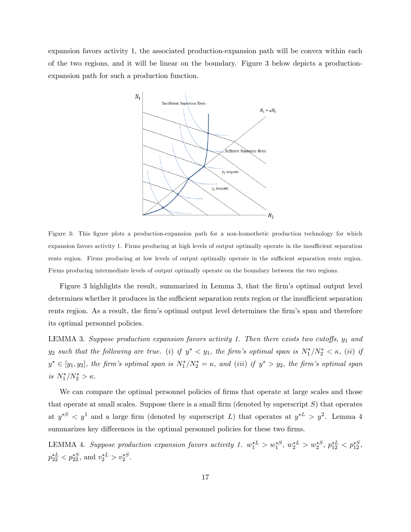expansion favors activity 1, the associated production-expansion path will be convex within each of the two regions, and it will be linear on the boundary. Figure 3 below depicts a productionexpansion path for such a production function.



Figure 3: This figure plots a production-expansion path for a non-homothetic production technology for which expansion favors activity 1. Firms producing at high levels of output optimally operate in the insufficient separation rents region. Firms producing at low levels of output optimally operate in the sufficient separation rents region. Firms producing intermediate levels of output optimally operate on the boundary between the two regions.

Figure 3 highlights the result, summarized in Lemma 3, that the firm's optimal output level determines whether it produces in the sufficient separation rents region or the insufficient separation rents region. As a result, the firm's optimal output level determines the firm's span and therefore its optimal personnel policies.

LEMMA 3. Suppose production expansion favors activity 1. Then there exists two cutoffs,  $y_1$  and  $y_2$  such that the following are true. (i) if  $y^* < y_1$ , the firm's optimal span is  $N_1^*/N_2^* < \kappa$ , (ii) if  $y^* \in [y_1, y_2]$ , the firm's optimal span is  $N_1^*/N_2^* = \kappa$ , and (iii) if  $y^* > y_2$ , the firm's optimal span is  $N_1^*/N_2^* > \kappa$ .

We can compare the optimal personnel policies of firms that operate at large scales and those that operate at small scales. Suppose there is a small firm (denoted by superscript  $S$ ) that operates at  $y^{*S} < y^1$  and a large firm (denoted by superscript L) that operates at  $y^{*L} > y^2$ . Lemma 4 summarizes key differences in the optimal personnel policies for these two firms.

LEMMA 4. Suppose production expansion favors activity 1.  $w_1^{*L} > w_1^{*S}$ ,  $w_2^{*L} > w_2^{*S}$ ,  $p_{12}^{*L} < p_{12}^{*S}$ ,  $p_{22}^{*L} < p_{22}^{*S}$ , and  $v_2^{*L} > v_2^{*S}$ .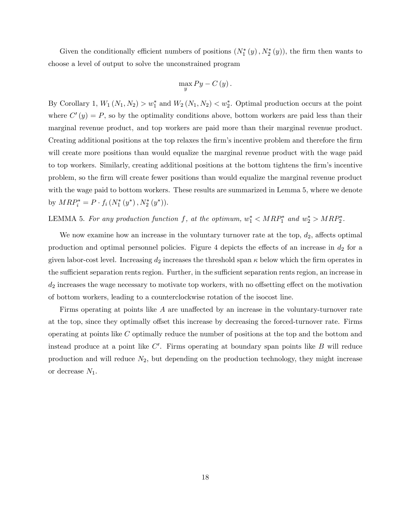Given the conditionally efficient numbers of positions  $(N_1^*(y), N_2^*(y))$ , the firm then wants to choose a level of output to solve the unconstrained program

$$
\max_{y} Py - C(y).
$$

By Corollary 1,  $W_1(N_1, N_2) > w_1^*$  and  $W_2(N_1, N_2) < w_2^*$ . Optimal production occurs at the point where  $C'(y) = P$ , so by the optimality conditions above, bottom workers are paid less than their marginal revenue product, and top workers are paid more than their marginal revenue product. Creating additional positions at the top relaxes the Örmís incentive problem and therefore the Örm will create more positions than would equalize the marginal revenue product with the wage paid to top workers. Similarly, creating additional positions at the bottom tightens the firm's incentive problem, so the Örm will create fewer positions than would equalize the marginal revenue product with the wage paid to bottom workers. These results are summarized in Lemma 5, where we denote by  $MRP_i^* = P \cdot f_i(N_1^*(y^*), N_2^*(y^*)).$ 

# LEMMA 5. For any production function f, at the optimum,  $w_1^* < MRP_1^*$  and  $w_2^* > MRP_2^*$ .

We now examine how an increase in the voluntary turnover rate at the top,  $d_2$ , affects optimal production and optimal personnel policies. Figure 4 depicts the effects of an increase in  $d_2$  for a given labor-cost level. Increasing  $d_2$  increases the threshold span  $\kappa$  below which the firm operates in the sufficient separation rents region. Further, in the sufficient separation rents region, an increase in  $d_2$  increases the wage necessary to motivate top workers, with no offsetting effect on the motivation of bottom workers, leading to a counterclockwise rotation of the isocost line.

Firms operating at points like  $A$  are unaffected by an increase in the voluntary-turnover rate at the top, since they optimally offset this increase by decreasing the forced-turnover rate. Firms operating at points like C optimally reduce the number of positions at the top and the bottom and instead produce at a point like  $C'$ . Firms operating at boundary span points like  $B$  will reduce production and will reduce  $N_2$ , but depending on the production technology, they might increase or decrease  $N_1$ .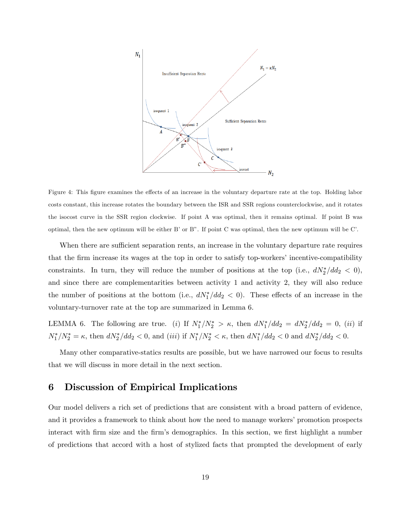

Figure 4: This figure examines the effects of an increase in the voluntary departure rate at the top. Holding labor costs constant, this increase rotates the boundary between the ISR and SSR regions counterclockwise, and it rotates the isocost curve in the SSR region clockwise. If point A was optimal, then it remains optimal. If point B was optimal, then the new optimum will be either B' or B". If point C was optimal, then the new optimum will be C'.

When there are sufficient separation rents, an increase in the voluntary departure rate requires that the firm increase its wages at the top in order to satisfy top-workers' incentive-compatibility constraints. In turn, they will reduce the number of positions at the top (i.e.,  $dN_2^*/dd_2 < 0$ ), and since there are complementarities between activity 1 and activity 2, they will also reduce the number of positions at the bottom (i.e.,  $dN_1^*/dd_2 < 0$ ). These effects of an increase in the voluntary-turnover rate at the top are summarized in Lemma 6.

LEMMA 6. The following are true. (i) If  $N_1^*/N_2^* > \kappa$ , then  $dN_1^*/dd_2 = dN_2^*/dd_2 = 0$ , (ii) if  $N_1^*/N_2^* = \kappa$ , then  $dN_2^*/dd_2 < 0$ , and (iii) if  $N_1^*/N_2^* < \kappa$ , then  $dN_1^*/dd_2 < 0$  and  $dN_2^*/dd_2 < 0$ .

Many other comparative-statics results are possible, but we have narrowed our focus to results that we will discuss in more detail in the next section.

# 6 Discussion of Empirical Implications

Our model delivers a rich set of predictions that are consistent with a broad pattern of evidence, and it provides a framework to think about how the need to manage workers' promotion prospects interact with firm size and the firm's demographics. In this section, we first highlight a number of predictions that accord with a host of stylized facts that prompted the development of early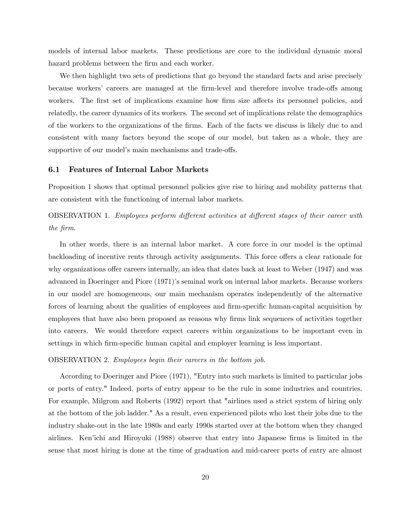models of internal labor markets. These predictions are core to the individual dynamic moral hazard problems between the firm and each worker.

We then highlight two sets of predictions that go beyond the standard facts and arise precisely because workers' careers are managed at the firm-level and therefore involve trade-offs among workers. The first set of implications examine how firm size affects its personnel policies, and relatedly, the career dynamics of its workers. The second set of implications relate the demographics of the workers to the organizations of the Örms. Each of the facts we discuss is likely due to and consistent with many factors beyond the scope of our model, but taken as a whole, they are supportive of our model's main mechanisms and trade-offs.

## 6.1 Features of Internal Labor Markets

Proposition 1 shows that optimal personnel policies give rise to hiring and mobility patterns that are consistent with the functioning of internal labor markets.

OBSERVATION 1. Employees perform different activities at different stages of their career with the firm.

In other words, there is an internal labor market. A core force in our model is the optimal backloading of incentive rents through activity assignments. This force offers a clear rationale for why organizations offer careers internally, an idea that dates back at least to Weber (1947) and was advanced in Doeringer and Piore (1971)'s seminal work on internal labor markets. Because workers in our model are homogeneous, our main mechanism operates independently of the alternative forces of learning about the qualities of employees and firm-specific human-capital acquisition by employees that have also been proposed as reasons why firms link sequences of activities together into careers. We would therefore expect careers within organizations to be important even in settings in which firm-specific human capital and employer learning is less important.

#### OBSERVATION 2. Employees begin their careers in the bottom job.

According to Doeringer and Piore (1971), "Entry into such markets is limited to particular jobs or ports of entry." Indeed, ports of entry appear to be the rule in some industries and countries. For example, Milgrom and Roberts (1992) report that "airlines used a strict system of hiring only at the bottom of the job ladder." As a result, even experienced pilots who lost their jobs due to the industry shake-out in the late 1980s and early 1990s started over at the bottom when they changed airlines. Ken'ichi and Hiroyuki (1988) observe that entry into Japanese firms is limited in the sense that most hiring is done at the time of graduation and mid-career ports of entry are almost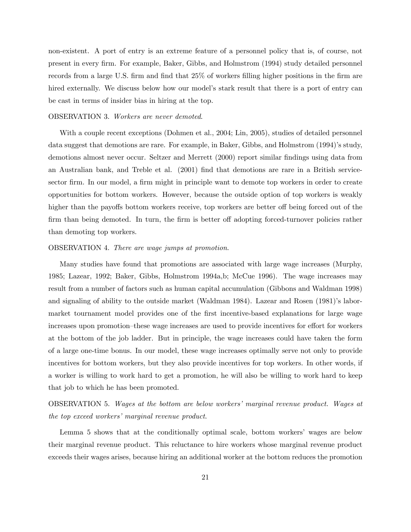non-existent. A port of entry is an extreme feature of a personnel policy that is, of course, not present in every Örm. For example, Baker, Gibbs, and Holmstrom (1994) study detailed personnel records from a large U.S. firm and find that 25% of workers filling higher positions in the firm are hired externally. We discuss below how our model's stark result that there is a port of entry can be cast in terms of insider bias in hiring at the top.

#### OBSERVATION 3. Workers are never demoted.

With a couple recent exceptions (Dohmen et al., 2004; Lin, 2005), studies of detailed personnel data suggest that demotions are rare. For example, in Baker, Gibbs, and Holmstrom  $(1994)$ 's study, demotions almost never occur. Seltzer and Merrett (2000) report similar findings using data from an Australian bank, and Treble et al. (2001) find that demotions are rare in a British servicesector firm. In our model, a firm might in principle want to demote top workers in order to create opportunities for bottom workers. However, because the outside option of top workers is weakly higher than the payoffs bottom workers receive, top workers are better off being forced out of the firm than being demoted. In turn, the firm is better of adopting forced-turnover policies rather than demoting top workers.

### OBSERVATION 4. There are wage jumps at promotion.

Many studies have found that promotions are associated with large wage increases (Murphy, 1985; Lazear, 1992; Baker, Gibbs, Holmstrom 1994a,b; McCue 1996). The wage increases may result from a number of factors such as human capital accumulation (Gibbons and Waldman 1998) and signaling of ability to the outside market (Waldman 1984). Lazear and Rosen (1981)'s labormarket tournament model provides one of the first incentive-based explanations for large wage increases upon promotion–these wage increases are used to provide incentives for effort for workers at the bottom of the job ladder. But in principle, the wage increases could have taken the form of a large one-time bonus. In our model, these wage increases optimally serve not only to provide incentives for bottom workers, but they also provide incentives for top workers. In other words, if a worker is willing to work hard to get a promotion, he will also be willing to work hard to keep that job to which he has been promoted.

OBSERVATION 5. Wages at the bottom are below workersímarginal revenue product. Wages at the top exceed workers' marginal revenue product.

Lemma 5 shows that at the conditionally optimal scale, bottom workers' wages are below their marginal revenue product. This reluctance to hire workers whose marginal revenue product exceeds their wages arises, because hiring an additional worker at the bottom reduces the promotion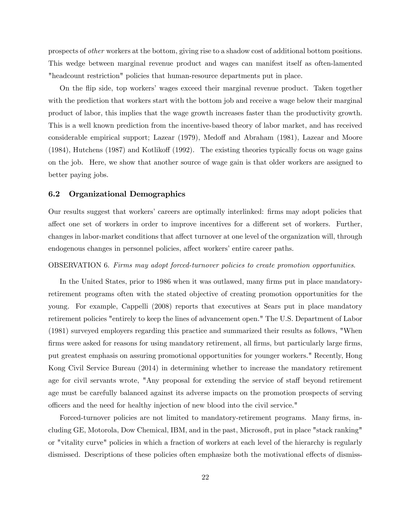prospects of other workers at the bottom, giving rise to a shadow cost of additional bottom positions. This wedge between marginal revenue product and wages can manifest itself as often-lamented "headcount restriction" policies that human-resource departments put in place.

On the áip side, top workersí wages exceed their marginal revenue product. Taken together with the prediction that workers start with the bottom job and receive a wage below their marginal product of labor, this implies that the wage growth increases faster than the productivity growth. This is a well known prediction from the incentive-based theory of labor market, and has received considerable empirical support; Lazear (1979), Medoff and Abraham (1981), Lazear and Moore  $(1984)$ , Hutchens  $(1987)$  and Kotlikoff  $(1992)$ . The existing theories typically focus on wage gains on the job. Here, we show that another source of wage gain is that older workers are assigned to better paying jobs.

### 6.2 Organizational Demographics

Our results suggest that workers' careers are optimally interlinked: firms may adopt policies that affect one set of workers in order to improve incentives for a different set of workers. Further, changes in labor-market conditions that affect turnover at one level of the organization will, through endogenous changes in personnel policies, affect workers' entire career paths.

### OBSERVATION 6. Firms may adopt forced-turnover policies to create promotion opportunities.

In the United States, prior to 1986 when it was outlawed, many firms put in place mandatoryretirement programs often with the stated objective of creating promotion opportunities for the young. For example, Cappelli (2008) reports that executives at Sears put in place mandatory retirement policies "entirely to keep the lines of advancement open." The U.S. Department of Labor (1981) surveyed employers regarding this practice and summarized their results as follows, "When firms were asked for reasons for using mandatory retirement, all firms, but particularly large firms, put greatest emphasis on assuring promotional opportunities for younger workers." Recently, Hong Kong Civil Service Bureau (2014) in determining whether to increase the mandatory retirement age for civil servants wrote, "Any proposal for extending the service of staff beyond retirement age must be carefully balanced against its adverse impacts on the promotion prospects of serving o¢ cers and the need for healthy injection of new blood into the civil service."

Forced-turnover policies are not limited to mandatory-retirement programs. Many firms, including GE, Motorola, Dow Chemical, IBM, and in the past, Microsoft, put in place "stack ranking" or "vitality curve" policies in which a fraction of workers at each level of the hierarchy is regularly dismissed. Descriptions of these policies often emphasize both the motivational effects of dismiss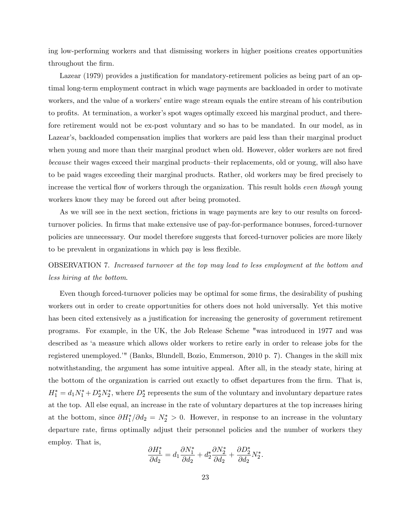ing low-performing workers and that dismissing workers in higher positions creates opportunities throughout the Örm.

Lazear (1979) provides a justification for mandatory-retirement policies as being part of an optimal long-term employment contract in which wage payments are backloaded in order to motivate workers, and the value of a workers' entire wage stream equals the entire stream of his contribution to profits. At termination, a worker's spot wages optimally exceed his marginal product, and therefore retirement would not be ex-post voluntary and so has to be mandated. In our model, as in Lazear's, backloaded compensation implies that workers are paid less than their marginal product when young and more than their marginal product when old. However, older workers are not fired because their wages exceed their marginal products–their replacements, old or young, will also have to be paid wages exceeding their marginal products. Rather, old workers may be fired precisely to increase the vertical flow of workers through the organization. This result holds even though young workers know they may be forced out after being promoted.

As we will see in the next section, frictions in wage payments are key to our results on forcedturnover policies. In firms that make extensive use of pay-for-performance bonuses, forced-turnover policies are unnecessary. Our model therefore suggests that forced-turnover policies are more likely to be prevalent in organizations in which pay is less flexible.

OBSERVATION 7. Increased turnover at the top may lead to less employment at the bottom and less hiring at the bottom.

Even though forced-turnover policies may be optimal for some firms, the desirability of pushing workers out in order to create opportunities for others does not hold universally. Yet this motive has been cited extensively as a justification for increasing the generosity of government retirement programs. For example, in the UK, the Job Release Scheme "was introduced in 1977 and was described as ëa measure which allows older workers to retire early in order to release jobs for the registered unemployed.<sup>'"</sup> (Banks, Blundell, Bozio, Emmerson, 2010 p. 7). Changes in the skill mix notwithstanding, the argument has some intuitive appeal. After all, in the steady state, hiring at the bottom of the organization is carried out exactly to offset departures from the firm. That is,  $H_1^* = d_1 N_1^* + D_2^* N_2^*$ , where  $D_2^*$  represents the sum of the voluntary and involuntary departure rates at the top. All else equal, an increase in the rate of voluntary departures at the top increases hiring at the bottom, since  $\partial H_1^* / \partial d_2 = N_2^* > 0$ . However, in response to an increase in the voluntary departure rate, firms optimally adjust their personnel policies and the number of workers they employ. That is,

$$
\frac{\partial H_1^*}{\partial d_2} = d_1 \frac{\partial N_1^*}{\partial d_2} + d_2^* \frac{\partial N_2^*}{\partial d_2} + \frac{\partial D_2^*}{\partial d_2} N_2^*.
$$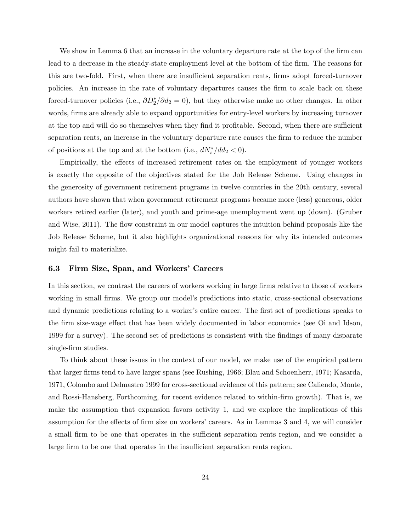We show in Lemma 6 that an increase in the voluntary departure rate at the top of the firm can lead to a decrease in the steady-state employment level at the bottom of the firm. The reasons for this are two-fold. First, when there are insufficient separation rents, firms adopt forced-turnover policies. An increase in the rate of voluntary departures causes the Örm to scale back on these forced-turnover policies (i.e.,  $\partial D_2^*/\partial d_2 = 0$ ), but they otherwise make no other changes. In other words, firms are already able to expand opportunities for entry-level workers by increasing turnover at the top and will do so themselves when they find it profitable. Second, when there are sufficient separation rents, an increase in the voluntary departure rate causes the firm to reduce the number of positions at the top and at the bottom (i.e.,  $dN_i^*/dd_2 < 0$ ).

Empirically, the effects of increased retirement rates on the employment of younger workers is exactly the opposite of the objectives stated for the Job Release Scheme. Using changes in the generosity of government retirement programs in twelve countries in the 20th century, several authors have shown that when government retirement programs became more (less) generous, older workers retired earlier (later), and youth and prime-age unemployment went up (down). (Gruber and Wise, 2011). The flow constraint in our model captures the intuition behind proposals like the Job Release Scheme, but it also highlights organizational reasons for why its intended outcomes might fail to materialize.

## 6.3 Firm Size, Span, and Workers' Careers

In this section, we contrast the careers of workers working in large firms relative to those of workers working in small firms. We group our model's predictions into static, cross-sectional observations and dynamic predictions relating to a worker's entire career. The first set of predictions speaks to the firm size-wage effect that has been widely documented in labor economics (see Oi and Idson, 1999 for a survey). The second set of predictions is consistent with the findings of many disparate single-firm studies.

To think about these issues in the context of our model, we make use of the empirical pattern that larger Örms tend to have larger spans (see Rushing, 1966; Blau and Schoenherr, 1971; Kasarda, 1971, Colombo and Delmastro 1999 for cross-sectional evidence of this pattern; see Caliendo, Monte, and Rossi-Hansberg, Forthcoming, for recent evidence related to within-firm growth). That is, we make the assumption that expansion favors activity 1, and we explore the implications of this assumption for the effects of firm size on workers' careers. As in Lemmas 3 and 4, we will consider a small firm to be one that operates in the sufficient separation rents region, and we consider a large firm to be one that operates in the insufficient separation rents region.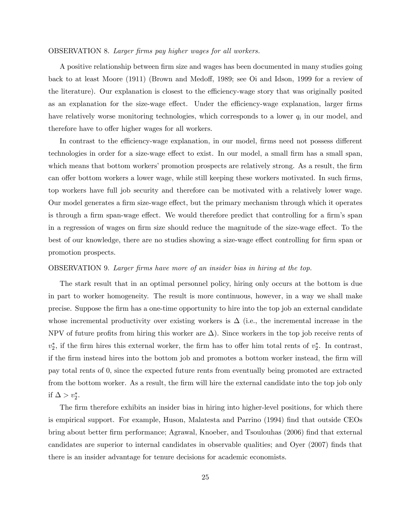#### OBSERVATION 8. Larger firms pay higher wages for all workers.

A positive relationship between firm size and wages has been documented in many studies going back to at least Moore (1911) (Brown and Medoff, 1989; see Oi and Idson, 1999 for a review of the literature). Our explanation is closest to the efficiency-wage story that was originally posited as an explanation for the size-wage effect. Under the efficiency-wage explanation, larger firms have relatively worse monitoring technologies, which corresponds to a lower  $q_i$  in our model, and therefore have to offer higher wages for all workers.

In contrast to the efficiency-wage explanation, in our model, firms need not possess different technologies in order for a size-wage effect to exist. In our model, a small firm has a small span, which means that bottom workers' promotion prospects are relatively strong. As a result, the firm can offer bottom workers a lower wage, while still keeping these workers motivated. In such firms, top workers have full job security and therefore can be motivated with a relatively lower wage. Our model generates a firm size-wage effect, but the primary mechanism through which it operates is through a firm span-wage effect. We would therefore predict that controlling for a firm's span in a regression of wages on firm size should reduce the magnitude of the size-wage effect. To the best of our knowledge, there are no studies showing a size-wage effect controlling for firm span or promotion prospects.

#### OBSERVATION 9. Larger Örms have more of an insider bias in hiring at the top.

The stark result that in an optimal personnel policy, hiring only occurs at the bottom is due in part to worker homogeneity. The result is more continuous, however, in a way we shall make precise. Suppose the Örm has a one-time opportunity to hire into the top job an external candidate whose incremental productivity over existing workers is  $\Delta$  (i.e., the incremental increase in the NPV of future profits from hiring this worker are  $\Delta$ ). Since workers in the top job receive rents of  $v_2^*$ , if the firm hires this external worker, the firm has to offer him total rents of  $v_2^*$ . In contrast, if the firm instead hires into the bottom job and promotes a bottom worker instead, the firm will pay total rents of 0, since the expected future rents from eventually being promoted are extracted from the bottom worker. As a result, the firm will hire the external candidate into the top job only if  $\Delta > v_2^*$ .

The firm therefore exhibits an insider bias in hiring into higher-level positions, for which there is empirical support. For example, Huson, Malatesta and Parrino (1994) Önd that outside CEOs bring about better firm performance; Agrawal, Knoeber, and Tsoulouhas (2006) find that external candidates are superior to internal candidates in observable qualities; and Oyer (2007) finds that there is an insider advantage for tenure decisions for academic economists.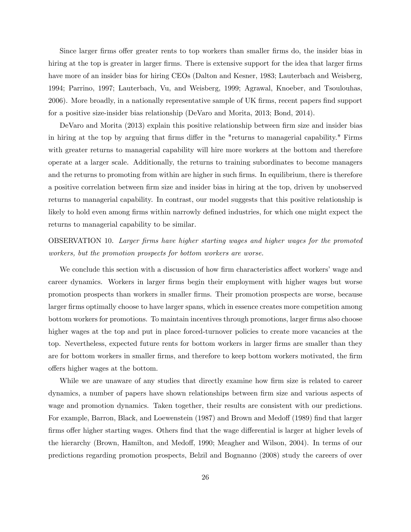Since larger firms offer greater rents to top workers than smaller firms do, the insider bias in hiring at the top is greater in larger firms. There is extensive support for the idea that larger firms have more of an insider bias for hiring CEOs (Dalton and Kesner, 1983; Lauterbach and Weisberg, 1994; Parrino, 1997; Lauterbach, Vu, and Weisberg, 1999; Agrawal, Knoeber, and Tsoulouhas, 2006). More broadly, in a nationally representative sample of UK firms, recent papers find support for a positive size-insider bias relationship (DeVaro and Morita, 2013; Bond, 2014).

DeVaro and Morita (2013) explain this positive relationship between firm size and insider bias in hiring at the top by arguing that firms differ in the "returns to managerial capability." Firms with greater returns to managerial capability will hire more workers at the bottom and therefore operate at a larger scale. Additionally, the returns to training subordinates to become managers and the returns to promoting from within are higher in such firms. In equilibrium, there is therefore a positive correlation between firm size and insider bias in hiring at the top, driven by unobserved returns to managerial capability. In contrast, our model suggests that this positive relationship is likely to hold even among firms within narrowly defined industries, for which one might expect the returns to managerial capability to be similar.

OBSERVATION 10. Larger Örms have higher starting wages and higher wages for the promoted workers, but the promotion prospects for bottom workers are worse.

We conclude this section with a discussion of how firm characteristics affect workers' wage and career dynamics. Workers in larger Örms begin their employment with higher wages but worse promotion prospects than workers in smaller Örms. Their promotion prospects are worse, because larger firms optimally choose to have larger spans, which in essence creates more competition among bottom workers for promotions. To maintain incentives through promotions, larger firms also choose higher wages at the top and put in place forced-turnover policies to create more vacancies at the top. Nevertheless, expected future rents for bottom workers in larger firms are smaller than they are for bottom workers in smaller firms, and therefore to keep bottom workers motivated, the firm offers higher wages at the bottom.

While we are unaware of any studies that directly examine how firm size is related to career dynamics, a number of papers have shown relationships between firm size and various aspects of wage and promotion dynamics. Taken together, their results are consistent with our predictions. For example, Barron, Black, and Loewenstein (1987) and Brown and Medoff (1989) find that larger firms offer higher starting wages. Others find that the wage differential is larger at higher levels of the hierarchy (Brown, Hamilton, and Medoff, 1990; Meagher and Wilson, 2004). In terms of our predictions regarding promotion prospects, Belzil and Bognanno (2008) study the careers of over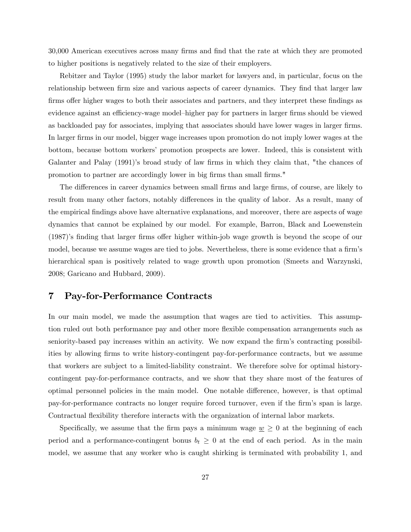30,000 American executives across many Örms and Önd that the rate at which they are promoted to higher positions is negatively related to the size of their employers.

Rebitzer and Taylor (1995) study the labor market for lawyers and, in particular, focus on the relationship between firm size and various aspects of career dynamics. They find that larger law firms offer higher wages to both their associates and partners, and they interpret these findings as evidence against an efficiency-wage model-higher pay for partners in larger firms should be viewed as backloaded pay for associates, implying that associates should have lower wages in larger firms. In larger Örms in our model, bigger wage increases upon promotion do not imply lower wages at the bottom, because bottom workersí promotion prospects are lower. Indeed, this is consistent with Galanter and Palay (1991)'s broad study of law firms in which they claim that, "the chances of promotion to partner are accordingly lower in big Örms than small Örms."

The differences in career dynamics between small firms and large firms, of course, are likely to result from many other factors, notably differences in the quality of labor. As a result, many of the empirical Öndings above have alternative explanations, and moreover, there are aspects of wage dynamics that cannot be explained by our model. For example, Barron, Black and Loewenstein  $(1987)$ 's finding that larger firms offer higher within-job wage growth is beyond the scope of our model, because we assume wages are tied to jobs. Nevertheless, there is some evidence that a firm's hierarchical span is positively related to wage growth upon promotion (Smeets and Warzynski, 2008; Garicano and Hubbard, 2009).

# 7 Pay-for-Performance Contracts

In our main model, we made the assumption that wages are tied to activities. This assumption ruled out both performance pay and other more flexible compensation arrangements such as seniority-based pay increases within an activity. We now expand the firm's contracting possibilities by allowing firms to write history-contingent pay-for-performance contracts, but we assume that workers are subject to a limited-liability constraint. We therefore solve for optimal historycontingent pay-for-performance contracts, and we show that they share most of the features of optimal personnel policies in the main model. One notable difference, however, is that optimal pay-for-performance contracts no longer require forced turnover, even if the firm's span is large. Contractual flexibility therefore interacts with the organization of internal labor markets.

Specifically, we assume that the firm pays a minimum wage  $\underline{w} \geq 0$  at the beginning of each period and a performance-contingent bonus  $b_t \geq 0$  at the end of each period. As in the main model, we assume that any worker who is caught shirking is terminated with probability 1, and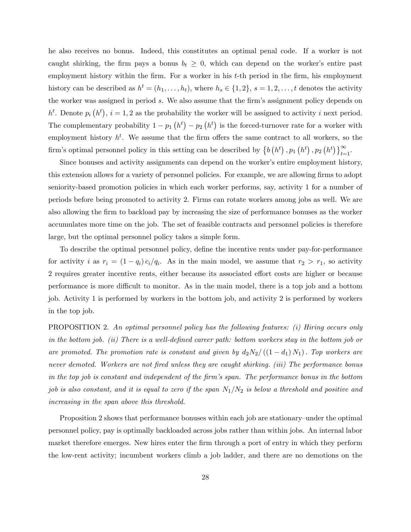he also receives no bonus. Indeed, this constitutes an optimal penal code. If a worker is not caught shirking, the firm pays a bonus  $b_t \geq 0$ , which can depend on the worker's entire past employment history within the firm. For a worker in his t-th period in the firm, his employment history can be described as  $h^t = (h_1, \ldots, h_t)$ , where  $h_s \in \{1, 2\}$ ,  $s = 1, 2, \ldots, t$  denotes the activity the worker was assigned in period s. We also assume that the firm's assignment policy depends on  $h^t$ . Denote  $p_i(h^t)$ ,  $i = 1, 2$  as the probability the worker will be assigned to activity i next period. The complementary probability  $1 - p_1(h^t) - p_2(h^t)$  is the forced-turnover rate for a worker with employment history  $h^t$ . We assume that the firm offers the same contract to all workers, so the firm's optimal personnel policy in this setting can be described by  $\{b(h^t), p_1(h^t), p_2(h^t)\}_{t=1}^{\infty}$ .

Since bonuses and activity assignments can depend on the worker's entire employment history, this extension allows for a variety of personnel policies. For example, we are allowing firms to adopt seniority-based promotion policies in which each worker performs, say, activity 1 for a number of periods before being promoted to activity 2. Firms can rotate workers among jobs as well. We are also allowing the firm to backload pay by increasing the size of performance bonuses as the worker accumulates more time on the job. The set of feasible contracts and personnel policies is therefore large, but the optimal personnel policy takes a simple form.

To describe the optimal personnel policy, define the incentive rents under pay-for-performance for activity i as  $r_i = (1 - q_i) c_i / q_i$ . As in the main model, we assume that  $r_2 > r_1$ , so activity 2 requires greater incentive rents, either because its associated effort costs are higher or because performance is more difficult to monitor. As in the main model, there is a top job and a bottom job. Activity 1 is performed by workers in the bottom job, and activity 2 is performed by workers in the top job.

PROPOSITION 2. An optimal personnel policy has the following features: (i) Hiring occurs only in the bottom job. (ii) There is a well-defined career path: bottom workers stay in the bottom job or are promoted. The promotion rate is constant and given by  $d_2N_2/((1 - d_1) N_1)$ . Top workers are never demoted. Workers are not fired unless they are caught shirking. (iii) The performance bonus in the top job is constant and independent of the firm's span. The performance bonus in the bottom job is also constant, and it is equal to zero if the span  $N_1/N_2$  is below a threshold and positive and increasing in the span above this threshold.

Proposition 2 shows that performance bonuses within each job are stationary–under the optimal personnel policy, pay is optimally backloaded across jobs rather than within jobs. An internal labor market therefore emerges. New hires enter the firm through a port of entry in which they perform the low-rent activity; incumbent workers climb a job ladder, and there are no demotions on the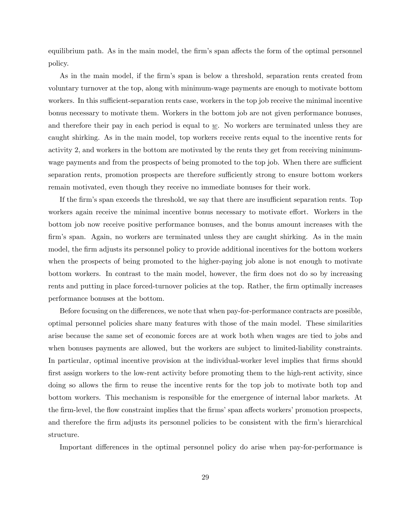equilibrium path. As in the main model, the firm's span affects the form of the optimal personnel policy.

As in the main model, if the firm's span is below a threshold, separation rents created from voluntary turnover at the top, along with minimum-wage payments are enough to motivate bottom workers. In this sufficient-separation rents case, workers in the top job receive the minimal incentive bonus necessary to motivate them. Workers in the bottom job are not given performance bonuses, and therefore their pay in each period is equal to  $\underline{w}$ . No workers are terminated unless they are caught shirking. As in the main model, top workers receive rents equal to the incentive rents for activity 2, and workers in the bottom are motivated by the rents they get from receiving minimumwage payments and from the prospects of being promoted to the top job. When there are sufficient separation rents, promotion prospects are therefore sufficiently strong to ensure bottom workers remain motivated, even though they receive no immediate bonuses for their work.

If the firm's span exceeds the threshold, we say that there are insufficient separation rents. Top workers again receive the minimal incentive bonus necessary to motivate effort. Workers in the bottom job now receive positive performance bonuses, and the bonus amount increases with the firm's span. Again, no workers are terminated unless they are caught shirking. As in the main model, the firm adjusts its personnel policy to provide additional incentives for the bottom workers when the prospects of being promoted to the higher-paying job alone is not enough to motivate bottom workers. In contrast to the main model, however, the Örm does not do so by increasing rents and putting in place forced-turnover policies at the top. Rather, the firm optimally increases performance bonuses at the bottom.

Before focusing on the differences, we note that when pay-for-performance contracts are possible, optimal personnel policies share many features with those of the main model. These similarities arise because the same set of economic forces are at work both when wages are tied to jobs and when bonuses payments are allowed, but the workers are subject to limited-liability constraints. In particular, optimal incentive provision at the individual-worker level implies that firms should first assign workers to the low-rent activity before promoting them to the high-rent activity, since doing so allows the firm to reuse the incentive rents for the top job to motivate both top and bottom workers. This mechanism is responsible for the emergence of internal labor markets. At the firm-level, the flow constraint implies that the firms' span affects workers' promotion prospects, and therefore the firm adjusts its personnel policies to be consistent with the firm's hierarchical structure.

Important differences in the optimal personnel policy do arise when pay-for-performance is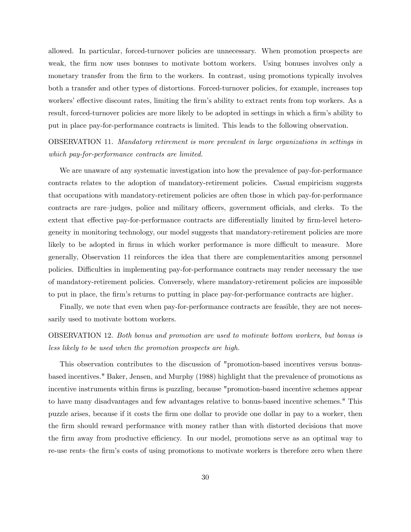allowed. In particular, forced-turnover policies are unnecessary. When promotion prospects are weak, the firm now uses bonuses to motivate bottom workers. Using bonuses involves only a monetary transfer from the firm to the workers. In contrast, using promotions typically involves both a transfer and other types of distortions. Forced-turnover policies, for example, increases top workers' effective discount rates, limiting the firm's ability to extract rents from top workers. As a result, forced-turnover policies are more likely to be adopted in settings in which a firm's ability to put in place pay-for-performance contracts is limited. This leads to the following observation.

OBSERVATION 11. Mandatory retirement is more prevalent in large organizations in settings in which pay-for-performance contracts are limited.

We are unaware of any systematic investigation into how the prevalence of pay-for-performance contracts relates to the adoption of mandatory-retirement policies. Casual empiricism suggests that occupations with mandatory-retirement policies are often those in which pay-for-performance contracts are rare-judges, police and military officers, government officials, and clerks. To the extent that effective pay-for-performance contracts are differentially limited by firm-level heterogeneity in monitoring technology, our model suggests that mandatory-retirement policies are more likely to be adopted in firms in which worker performance is more difficult to measure. More generally, Observation 11 reinforces the idea that there are complementarities among personnel policies. Difficulties in implementing pay-for-performance contracts may render necessary the use of mandatory-retirement policies. Conversely, where mandatory-retirement policies are impossible to put in place, the firm's returns to putting in place pay-for-performance contracts are higher.

Finally, we note that even when pay-for-performance contracts are feasible, they are not necessarily used to motivate bottom workers.

# OBSERVATION 12. Both bonus and promotion are used to motivate bottom workers, but bonus is less likely to be used when the promotion prospects are high.

This observation contributes to the discussion of "promotion-based incentives versus bonusbased incentives." Baker, Jensen, and Murphy (1988) highlight that the prevalence of promotions as incentive instruments within firms is puzzling, because "promotion-based incentive schemes appear to have many disadvantages and few advantages relative to bonus-based incentive schemes." This puzzle arises, because if it costs the Örm one dollar to provide one dollar in pay to a worker, then the Örm should reward performance with money rather than with distorted decisions that move the firm away from productive efficiency. In our model, promotions serve as an optimal way to re-use rents-the firm's costs of using promotions to motivate workers is therefore zero when there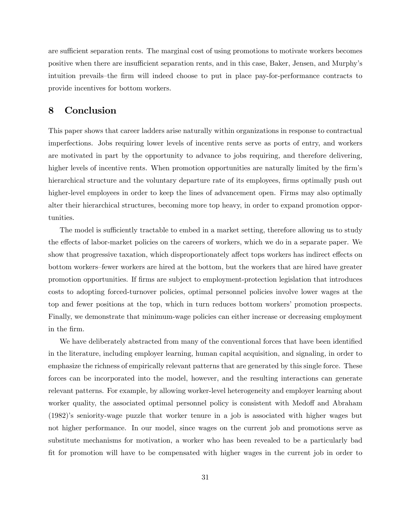are sufficient separation rents. The marginal cost of using promotions to motivate workers becomes positive when there are insufficient separation rents, and in this case, Baker, Jensen, and Murphy's intuition prevails—the firm will indeed choose to put in place pay-for-performance contracts to provide incentives for bottom workers.

# 8 Conclusion

This paper shows that career ladders arise naturally within organizations in response to contractual imperfections. Jobs requiring lower levels of incentive rents serve as ports of entry, and workers are motivated in part by the opportunity to advance to jobs requiring, and therefore delivering, higher levels of incentive rents. When promotion opportunities are naturally limited by the firm's hierarchical structure and the voluntary departure rate of its employees, firms optimally push out higher-level employees in order to keep the lines of advancement open. Firms may also optimally alter their hierarchical structures, becoming more top heavy, in order to expand promotion opportunities.

The model is sufficiently tractable to embed in a market setting, therefore allowing us to study the effects of labor-market policies on the careers of workers, which we do in a separate paper. We show that progressive taxation, which disproportionately affect tops workers has indirect effects on bottom workers-fewer workers are hired at the bottom, but the workers that are hired have greater promotion opportunities. If Örms are subject to employment-protection legislation that introduces costs to adopting forced-turnover policies, optimal personnel policies involve lower wages at the top and fewer positions at the top, which in turn reduces bottom workersí promotion prospects. Finally, we demonstrate that minimum-wage policies can either increase or decreasing employment in the Örm.

We have deliberately abstracted from many of the conventional forces that have been identified in the literature, including employer learning, human capital acquisition, and signaling, in order to emphasize the richness of empirically relevant patterns that are generated by this single force. These forces can be incorporated into the model, however, and the resulting interactions can generate relevant patterns. For example, by allowing worker-level heterogeneity and employer learning about worker quality, the associated optimal personnel policy is consistent with Medoff and Abraham (1982)ís seniority-wage puzzle that worker tenure in a job is associated with higher wages but not higher performance. In our model, since wages on the current job and promotions serve as substitute mechanisms for motivation, a worker who has been revealed to be a particularly bad Öt for promotion will have to be compensated with higher wages in the current job in order to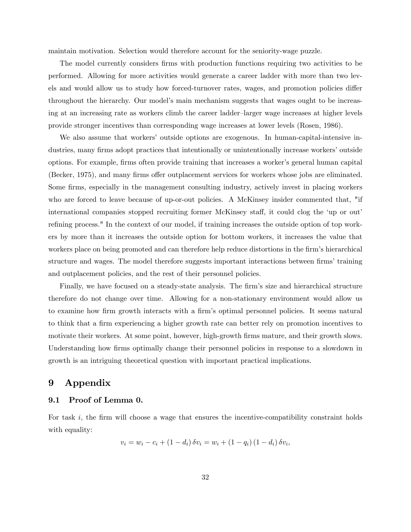maintain motivation. Selection would therefore account for the seniority-wage puzzle.

The model currently considers firms with production functions requiring two activities to be performed. Allowing for more activities would generate a career ladder with more than two levels and would allow us to study how forced-turnover rates, wages, and promotion policies differ throughout the hierarchy. Our modelís main mechanism suggests that wages ought to be increasing at an increasing rate as workers climb the career ladder-larger wage increases at higher levels provide stronger incentives than corresponding wage increases at lower levels (Rosen, 1986).

We also assume that workers' outside options are exogenous. In human-capital-intensive industries, many firms adopt practices that intentionally or unintentionally increase workers' outside options. For example, firms often provide training that increases a worker's general human capital (Becker, 1975), and many firms offer outplacement services for workers whose jobs are eliminated. Some firms, especially in the management consulting industry, actively invest in placing workers who are forced to leave because of up-or-out policies. A McKinsey insider commented that, "if international companies stopped recruiting former McKinsey staff, it could clog the 'up or out' refining process." In the context of our model, if training increases the outside option of top workers by more than it increases the outside option for bottom workers, it increases the value that workers place on being promoted and can therefore help reduce distortions in the firm's hierarchical structure and wages. The model therefore suggests important interactions between firms' training and outplacement policies, and the rest of their personnel policies.

Finally, we have focused on a steady-state analysis. The firm's size and hierarchical structure therefore do not change over time. Allowing for a non-stationary environment would allow us to examine how firm growth interacts with a firm's optimal personnel policies. It seems natural to think that a firm experiencing a higher growth rate can better rely on promotion incentives to motivate their workers. At some point, however, high-growth firms mature, and their growth slows. Understanding how firms optimally change their personnel policies in response to a slowdown in growth is an intriguing theoretical question with important practical implications.

# 9 Appendix

# 9.1 Proof of Lemma 0.

For task  $i$ , the firm will choose a wage that ensures the incentive-compatibility constraint holds with equality:

$$
v_i = w_i - c_i + (1 - d_i) \, \delta v_i = w_i + (1 - q_i) \, (1 - d_i) \, \delta v_i,
$$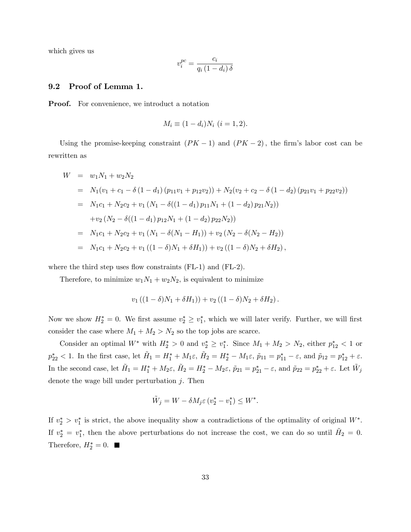which gives us

$$
v_i^{pc} = \frac{c_i}{q_i \left(1 - d_i\right) \delta}
$$

### 9.2 Proof of Lemma 1.

Proof. For convenience, we introduct a notation

$$
M_i \equiv (1 - d_i) N_i \ (i = 1, 2).
$$

Using the promise-keeping constraint  $(PK - 1)$  and  $(PK - 2)$ , the firm's labor cost can be rewritten as

$$
W = w_1 N_1 + w_2 N_2
$$
  
\n
$$
= N_1 (v_1 + c_1 - \delta (1 - d_1) (p_{11}v_1 + p_{12}v_2)) + N_2 (v_2 + c_2 - \delta (1 - d_2) (p_{21}v_1 + p_{22}v_2))
$$
  
\n
$$
= N_1 c_1 + N_2 c_2 + v_1 (N_1 - \delta ((1 - d_1) p_{11}N_1 + (1 - d_2) p_{21}N_2))
$$
  
\n
$$
+ v_2 (N_2 - \delta ((1 - d_1) p_{12}N_1 + (1 - d_2) p_{22}N_2))
$$
  
\n
$$
= N_1 c_1 + N_2 c_2 + v_1 (N_1 - \delta (N_1 - H_1)) + v_2 (N_2 - \delta (N_2 - H_2))
$$
  
\n
$$
= N_1 c_1 + N_2 c_2 + v_1 ((1 - \delta)N_1 + \delta H_1)) + v_2 ((1 - \delta)N_2 + \delta H_2),
$$

where the third step uses flow constraints  $(FL-1)$  and  $(FL-2)$ .

Therefore, to minimize  $w_1N_1 + w_2N_2$ , is equivalent to minimize

$$
v_1((1 - \delta)N_1 + \delta H_1)) + v_2((1 - \delta)N_2 + \delta H_2).
$$

Now we show  $H_2^* = 0$ . We first assume  $v_2^* \ge v_1^*$ , which we will later verify. Further, we will first consider the case where  $M_1 + M_2 > N_2$  so the top jobs are scarce.

Consider an optimal  $W^*$  with  $H_2^* > 0$  and  $v_2^* \ge v_1^*$ . Since  $M_1 + M_2 > N_2$ , either  $p_{12}^* < 1$  or  $p_{22}^* < 1$ . In the first case, let  $H_1 = H_1^* + M_1 \varepsilon$ ,  $H_2 = H_2^* - M_1 \varepsilon$ ,  $\tilde{p}_{11} = p_{11}^* - \varepsilon$ , and  $\tilde{p}_{12} = p_{12}^* + \varepsilon$ . In the second case, let  $H_1 = H_1^* + M_2\varepsilon$ ,  $H_2 = H_2^* - M_2\varepsilon$ ,  $\tilde{p}_{21} = p_{21}^* - \varepsilon$ , and  $\tilde{p}_{22} = p_{22}^* + \varepsilon$ . Let  $\tilde{W}_j$ denote the wage bill under perturbation  $j$ . Then

$$
\tilde{W}_j = W - \delta M_j \varepsilon \left( v_2^* - v_1^* \right) \le W^*.
$$

If  $v_2^* > v_1^*$  is strict, the above inequality show a contradictions of the optimality of original  $W^*$ . If  $v_2^* = v_1^*$ , then the above perturbations do not increase the cost, we can do so until  $H_2 = 0$ . Therefore,  $H_2^* = 0$ .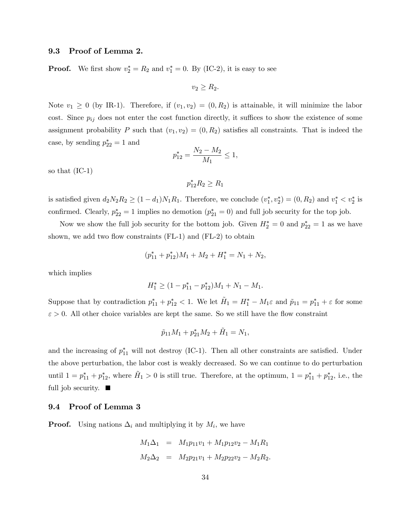## 9.3 Proof of Lemma 2.

**Proof.** We first show  $v_2^* = R_2$  and  $v_1^* = 0$ . By (IC-2), it is easy to see

$$
v_2 \ge R_2.
$$

Note  $v_1 \geq 0$  (by IR-1). Therefore, if  $(v_1, v_2) = (0, R_2)$  is attainable, it will minimize the labor cost. Since  $p_{ij}$  does not enter the cost function directly, it suffices to show the existence of some assignment probability P such that  $(v_1, v_2) = (0, R_2)$  satisfies all constraints. That is indeed the case, by sending  $p_{22}^* = 1$  and

$$
p_{12}^* = \frac{N_2 - M_2}{M_1} \le 1,
$$

so that (IC-1)

$$
p_{12}^* R_2 \ge R_1
$$

is satisfied given  $d_2N_2R_2 \ge (1-d_1)N_1R_1$ . Therefore, we conclude  $(v_1^*, v_2^*) = (0, R_2)$  and  $v_1^* < v_2^*$  is confirmed. Clearly,  $p_{22}^* = 1$  implies no demotion  $(p_{21}^* = 0)$  and full job security for the top job.

Now we show the full job security for the bottom job. Given  $H_2^* = 0$  and  $p_{22}^* = 1$  as we have shown, we add two flow constraints  $(FL-1)$  and  $(FL-2)$  to obtain

$$
(p_{11}^* + p_{12}^*)M_1 + M_2 + H_1^* = N_1 + N_2,
$$

which implies

$$
H_1^* \ge (1 - p_{11}^* - p_{12}^*)M_1 + N_1 - M_1.
$$

Suppose that by contradiction  $p_{11}^* + p_{12}^* < 1$ . We let  $H_1 = H_1^* - M_1 \varepsilon$  and  $\tilde{p}_{11} = p_{11}^* + \varepsilon$  for some  $\varepsilon > 0$ . All other choice variables are kept the same. So we still have the flow constraint

$$
\tilde{p}_{11}M_1 + p_{21}^*M_2 + \tilde{H}_1 = N_1,
$$

and the increasing of  $p_{11}^*$  will not destroy (IC-1). Then all other constraints are satisfied. Under the above perturbation, the labor cost is weakly decreased. So we can continue to do perturbation until  $1 = p_{11}^* + p_{12}^*$ , where  $H_1 > 0$  is still true. Therefore, at the optimum,  $1 = p_{11}^* + p_{12}^*$ , i.e., the full job security.  $\blacksquare$ 

### 9.4 Proof of Lemma 3

**Proof.** Using nations  $\Delta_i$  and multiplying it by  $M_i$ , we have

$$
M_1 \Delta_1 = M_1 p_{11} v_1 + M_1 p_{12} v_2 - M_1 R_1
$$
  

$$
M_2 \Delta_2 = M_2 p_{21} v_1 + M_2 p_{22} v_2 - M_2 R_2.
$$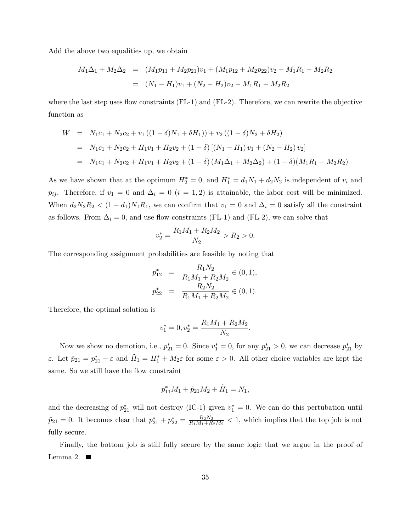Add the above two equalities up, we obtain

$$
M_1\Delta_1 + M_2\Delta_2 = (M_1p_{11} + M_2p_{21})v_1 + (M_1p_{12} + M_2p_{22})v_2 - M_1R_1 - M_2R_2
$$
  
= 
$$
(N_1 - H_1)v_1 + (N_2 - H_2)v_2 - M_1R_1 - M_2R_2
$$

where the last step uses flow constraints  $(FL-1)$  and  $(FL-2)$ . Therefore, we can rewrite the objective function as

$$
W = N_1c_1 + N_2c_2 + v_1((1 - \delta)N_1 + \delta H_1)) + v_2((1 - \delta)N_2 + \delta H_2)
$$
  
=  $N_1c_1 + N_2c_2 + H_1v_1 + H_2v_2 + (1 - \delta)[(N_1 - H_1)v_1 + (N_2 - H_2)v_2]$   
=  $N_1c_1 + N_2c_2 + H_1v_1 + H_2v_2 + (1 - \delta)(M_1\Delta_1 + M_2\Delta_2) + (1 - \delta)(M_1R_1 + M_2R_2)$ 

As we have shown that at the optimum  $H_2^* = 0$ , and  $H_1^* = d_1 N_1 + d_2 N_2$  is independent of  $v_i$  and  $p_{ij}$ . Therefore, if  $v_1 = 0$  and  $\Delta_i = 0$   $(i = 1, 2)$  is attainable, the labor cost will be minimized. When  $d_2N_2R_2 < (1-d_1)N_1R_1$ , we can confirm that  $v_1 = 0$  and  $\Delta_i = 0$  satisfy all the constraint as follows. From  $\Delta_i = 0$ , and use flow constraints (FL-1) and (FL-2), we can solve that

$$
v_2^* = \frac{R_1 M_1 + R_2 M_2}{N_2} > R_2 > 0.
$$

The corresponding assignment probabilities are feasible by noting that

$$
p_{12}^* = \frac{R_1 N_2}{R_1 M_1 + R_2 M_2} \in (0, 1),
$$
  

$$
p_{22}^* = \frac{R_2 N_2}{R_1 M_1 + R_2 M_2} \in (0, 1).
$$

Therefore, the optimal solution is

$$
v_1^* = 0, v_2^* = \frac{R_1 M_1 + R_2 M_2}{N_2}.
$$

Now we show no demotion, i.e.,  $p_{21}^* = 0$ . Since  $v_1^* = 0$ , for any  $p_{21}^* > 0$ , we can decrease  $p_{21}^*$  by  $\varepsilon$ . Let  $\tilde{p}_{21} = p_{21}^* - \varepsilon$  and  $\tilde{H}_1 = H_1^* + M_2 \varepsilon$  for some  $\varepsilon > 0$ . All other choice variables are kept the same. So we still have the flow constraint

$$
p_{11}^* M_1 + \tilde{p}_{21} M_2 + \tilde{H}_1 = N_1,
$$

and the decreasing of  $p_{21}^*$  will not destroy (IC-1) given  $v_1^* = 0$ . We can do this pertubation until  $\tilde{p}_{21} = 0$ . It becomes clear that  $p_{21}^* + p_{22}^* = \frac{R_2 N_2}{R_1 M_1 + R_2}$  $\frac{R_2N_2}{R_1M_1+R_2M_2}$  < 1, which implies that the top job is not fully secure.

Finally, the bottom job is still fully secure by the same logic that we argue in the proof of Lemma 2.  $\blacksquare$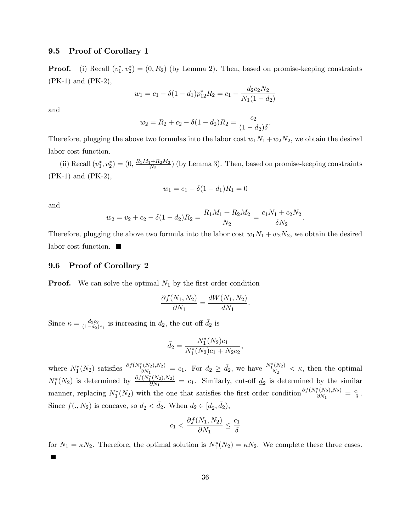## 9.5 Proof of Corollary 1

**Proof.** (i) Recall  $(v_1^*, v_2^*) = (0, R_2)$  (by Lemma 2). Then, based on promise-keeping constraints (PK-1) and (PK-2),

$$
w_1 = c_1 - \delta(1 - d_1)p_{12}^* R_2 = c_1 - \frac{d_2 c_2 N_2}{N_1 (1 - d_2)}
$$

and

$$
w_2 = R_2 + c_2 - \delta(1 - d_2)R_2 = \frac{c_2}{(1 - d_2)\delta}.
$$

Therefore, plugging the above two formulas into the labor cost  $w_1N_1 + w_2N_2$ , we obtain the desired labor cost function.

(ii) Recall  $(v_1^*, v_2^*) = (0, \frac{R_1M_1 + R_2M_2}{N_2})$  $\frac{(1+R_2M_2)}{N_2}$  (by Lemma 3). Then, based on promise-keeping constraints (PK-1) and (PK-2),

$$
w_1 = c_1 - \delta(1 - d_1)R_1 = 0
$$

and

$$
w_2 = v_2 + c_2 - \delta(1 - d_2)R_2 = \frac{R_1M_1 + R_2M_2}{N_2} = \frac{c_1N_1 + c_2N_2}{\delta N_2}.
$$

Therefore, plugging the above two formula into the labor cost  $w_1N_1 + w_2N_2$ , we obtain the desired labor cost function.

### 9.6 Proof of Corollary 2

**Proof.** We can solve the optimal  $N_1$  by the first order condition

$$
\frac{\partial f(N_1, N_2)}{\partial N_1} = \frac{dW(N_1, N_2)}{dN_1}.
$$

Since  $\kappa = \frac{d_2c_2}{(1-d_0)}$  $\frac{d_2c_2}{(1-d_2)c_1}$  is increasing in  $d_2$ , the cut-off  $\bar{d}_2$  is

$$
\bar{d}_2 = \frac{N_1^*(N_2)c_1}{N_1^*(N_2)c_1 + N_2c_2},
$$

where  $N_1^*(N_2)$  satisfies  $\frac{\partial f(N_1^*(N_2), N_2)}{\partial N_1}$  $\frac{\partial f(N_2), N_2)}{\partial N_1} = c_1$ . For  $d_2 \ge \bar{d}_2$ , we have  $\frac{N_1^*(N_2)}{N_2}$  $\frac{(N_2)}{N_2} < \kappa$ , then the optimal  $N_1^*(N_2)$  is determined by  $\frac{\partial f(N_1^*(N_2),N_2)}{\partial N_1}$  $\frac{d_1(N_2), N_2(N_1)}{\partial N_1} = c_1$ . Similarly, cut-off  $\underline{d}_2$  is determined by the similar manner, replacing  $N_1^*(N_2)$  with the one that satisfies the first order condition  $\frac{\partial f(N_1^*(N_2), N_2)}{\partial N_1}$  $\frac{\partial^*(N_2), N_2)}{\partial N_1} = \frac{c_1}{\delta}.$ Since  $f(. , N_2)$  is concave, so  $\underline{d}_2 < \overline{d}_2$ . When  $d_2 \in [\underline{d}_2, \overline{d}_2)$ ,

$$
c_1 < \frac{\partial f(N_1, N_2)}{\partial N_1} \le \frac{c_1}{\delta}
$$

for  $N_1 = \kappa N_2$ . Therefore, the optimal solution is  $N_1^*(N_2) = \kappa N_2$ . We complete these three cases.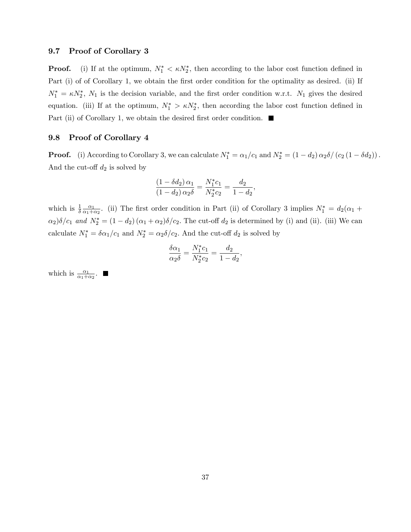## 9.7 Proof of Corollary 3

**Proof.** (i) If at the optimum,  $N_1^* < \kappa N_2^*$ , then according to the labor cost function defined in Part (i) of of Corollary 1, we obtain the first order condition for the optimality as desired. (ii) If  $N_1^* = \kappa N_2^*$ ,  $N_1$  is the decision variable, and the first order condition w.r.t.  $N_1$  gives the desired equation. (iii) If at the optimum,  $N_1^* > \kappa N_2^*$ , then according the labor cost function defined in Part (ii) of Corollary 1, we obtain the desired first order condition.

## 9.8 Proof of Corollary 4

**Proof.** (i) According to Corollary 3, we can calculate  $N_1^* = \alpha_1/c_1$  and  $N_2^* = (1-d_2) \alpha_2 \delta / (c_2 (1 - \delta d_2))$ . And the cut-off  $d_2$  is solved by

$$
\frac{(1 - \delta d_2) \alpha_1}{(1 - d_2) \alpha_2 \delta} = \frac{N_1^* c_1}{N_2^* c_2} = \frac{d_2}{1 - d_2},
$$

which is  $\frac{1}{\delta} \frac{\alpha_1}{\alpha_1 + \alpha_2}$  $\frac{\alpha_1}{\alpha_1+\alpha_2}$ . (ii) The first order condition in Part (ii) of Corollary 3 implies  $N_1^* = d_2(\alpha_1 + \alpha_2)$  $\alpha_2)\delta/c_1$  and  $N_2^* = (1 - d_2)(\alpha_1 + \alpha_2)\delta/c_2$ . The cut-off  $d_2$  is determined by (i) and (ii). (iii) We can calculate  $N_1^* = \delta \alpha_1/c_1$  and  $N_2^* = \alpha_2 \delta/c_2$ . And the cut-off  $d_2$  is solved by

$$
\frac{\delta \alpha_1}{\alpha_2 \delta} = \frac{N_1^* c_1}{N_2^* c_2} = \frac{d_2}{1 - d_2},
$$

which is  $\frac{\alpha_1}{\alpha_1+\alpha_2}$ .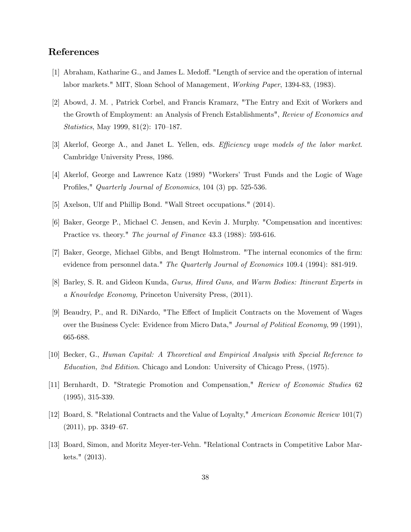# References

- [1] Abraham, Katharine G., and James L. Medoff. "Length of service and the operation of internal labor markets." MIT, Sloan School of Management, Working Paper, 1394-83, (1983).
- [2] Abowd, J. M. , Patrick Corbel, and Francis Kramarz, "The Entry and Exit of Workers and the Growth of Employment: an Analysis of French Establishments", Review of Economics and *Statistics*, May 1999, 81 $(2)$ : 170–187.
- [3] Akerlof, George A., and Janet L. Yellen, eds. Efficiency wage models of the labor market. Cambridge University Press, 1986.
- [4] Akerlof, George and Lawrence Katz (1989) "Workersí Trust Funds and the Logic of Wage Profiles," Quarterly Journal of Economics, 104 (3) pp. 525-536.
- [5] Axelson, Ulf and Phillip Bond. "Wall Street occupations." (2014).
- [6] Baker, George P., Michael C. Jensen, and Kevin J. Murphy. "Compensation and incentives: Practice vs. theory." The journal of Finance 43.3 (1988): 593-616.
- [7] Baker, George, Michael Gibbs, and Bengt Holmstrom. "The internal economics of the Örm: evidence from personnel data." The Quarterly Journal of Economics 109.4 (1994): 881-919.
- [8] Barley, S. R. and Gideon Kunda, Gurus, Hired Guns, and Warm Bodies: Itinerant Experts in a Knowledge Economy, Princeton University Press, (2011).
- [9] Beaudry, P., and R. DiNardo, "The Effect of Implicit Contracts on the Movement of Wages over the Business Cycle: Evidence from Micro Data," Journal of Political Economy, 99 (1991), 665-688.
- [10] Becker, G., Human Capital: A Theoretical and Empirical Analysis with Special Reference to Education, 2nd Edition. Chicago and London: University of Chicago Press, (1975).
- [11] Bernhardt, D. "Strategic Promotion and Compensation," Review of Economic Studies 62 (1995), 315-339.
- [12] Board, S. "Relational Contracts and the Value of Loyalty," American Economic Review 101(7)  $(2011)$ , pp. 3349–67.
- [13] Board, Simon, and Moritz Meyer-ter-Vehn. "Relational Contracts in Competitive Labor Markets." (2013).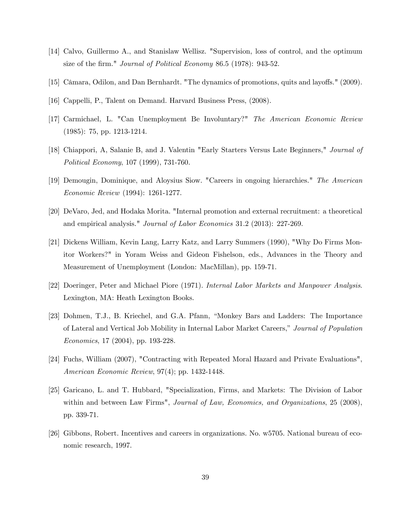- [14] Calvo, Guillermo A., and Stanislaw Wellisz. "Supervision, loss of control, and the optimum size of the firm." *Journal of Political Economy* 86.5 (1978): 943-52.
- [15] Câmara, Odilon, and Dan Bernhardt. "The dynamics of promotions, quits and layoffs." (2009).
- [16] Cappelli, P., Talent on Demand. Harvard Business Press, (2008).
- [17] Carmichael, L. "Can Unemployment Be Involuntary?" The American Economic Review (1985): 75, pp. 1213-1214.
- [18] Chiappori, A, Salanie B, and J. Valentin "Early Starters Versus Late Beginners," Journal of Political Economy, 107 (1999), 731-760.
- [19] Demougin, Dominique, and Aloysius Siow. "Careers in ongoing hierarchies." The American Economic Review (1994): 1261-1277.
- [20] DeVaro, Jed, and Hodaka Morita. "Internal promotion and external recruitment: a theoretical and empirical analysis." Journal of Labor Economics 31.2 (2013): 227-269.
- [21] Dickens William, Kevin Lang, Larry Katz, and Larry Summers (1990), "Why Do Firms Monitor Workers?" in Yoram Weiss and Gideon Fishelson, eds., Advances in the Theory and Measurement of Unemployment (London: MacMillan), pp. 159-71.
- [22] Doeringer, Peter and Michael Piore (1971). Internal Labor Markets and Manpower Analysis. Lexington, MA: Heath Lexington Books.
- [23] Dohmen, T.J., B. Kriechel, and G.A. Pfann, "Monkey Bars and Ladders: The Importance of Lateral and Vertical Job Mobility in Internal Labor Market Careers," Journal of Population Economics, 17 (2004), pp. 193-228.
- [24] Fuchs, William (2007), "Contracting with Repeated Moral Hazard and Private Evaluations", American Economic Review, 97(4); pp. 1432-1448.
- [25] Garicano, L. and T. Hubbard, "Specialization, Firms, and Markets: The Division of Labor within and between Law Firms", *Journal of Law, Economics, and Organizations*, 25 (2008), pp. 339-71.
- [26] Gibbons, Robert. Incentives and careers in organizations. No. w5705. National bureau of economic research, 1997.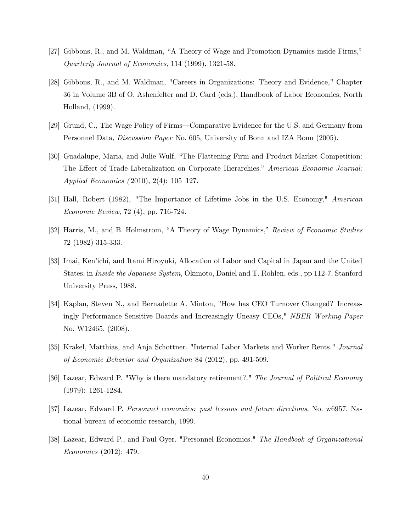- [27] Gibbons, R., and M. Waldman, "A Theory of Wage and Promotion Dynamics inside Firms," Quarterly Journal of Economics, 114 (1999), 1321-58.
- [28] Gibbons, R., and M. Waldman, "Careers in Organizations: Theory and Evidence," Chapter 36 in Volume 3B of O. Ashenfelter and D. Card (eds.), Handbook of Labor Economics, North Holland, (1999).
- [29] Grund, C., The Wage Policy of Firms—Comparative Evidence for the U.S. and Germany from Personnel Data, Discussion Paper No. 605, University of Bonn and IZA Bonn (2005).
- [30] Guadalupe, Maria, and Julie Wulf, "The Flattening Firm and Product Market Competition: The Effect of Trade Liberalization on Corporate Hierarchies." American Economic Journal: Applied Economics  $(2010), 2(4): 105-127.$
- [31] Hall, Robert (1982), "The Importance of Lifetime Jobs in the U.S. Economy," American Economic Review, 72 (4), pp. 716-724.
- [32] Harris, M., and B. Holmstrom, "A Theory of Wage Dynamics," Review of Economic Studies 72 (1982) 315-333.
- [33] Imai, Ken'ichi, and Itami Hiroyuki, Allocation of Labor and Capital in Japan and the United States, in Inside the Japanese System, Okimoto, Daniel and T. Rohlen, eds., pp 112-7, Stanford University Press, 1988.
- [34] Kaplan, Steven N., and Bernadette A. Minton, "How has CEO Turnover Changed? Increasingly Performance Sensitive Boards and Increasingly Uneasy CEOs," NBER Working Paper No. W12465, (2008).
- [35] Krakel, Matthias, and Anja Schottner. "Internal Labor Markets and Worker Rents." Journal of Economic Behavior and Organization 84 (2012), pp. 491-509.
- [36] Lazear, Edward P. "Why is there mandatory retirement?." The Journal of Political Economy (1979): 1261-1284.
- [37] Lazear, Edward P. Personnel economics: past lessons and future directions. No. w6957. National bureau of economic research, 1999.
- [38] Lazear, Edward P., and Paul Oyer. "Personnel Economics." The Handbook of Organizational Economics (2012): 479.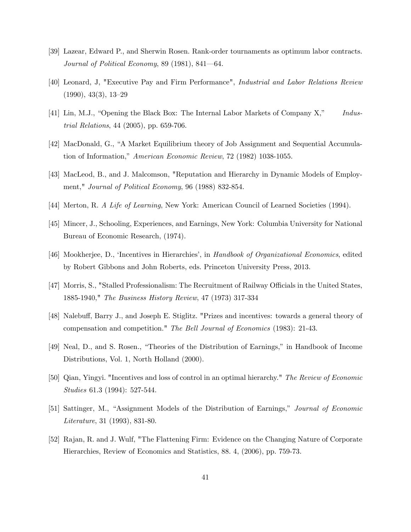- [39] Lazear, Edward P., and Sherwin Rosen. Rank-order tournaments as optimum labor contracts. Journal of Political Economy, 89  $(1981)$ , 841–64.
- [40] Leonard, J, "Executive Pay and Firm Performance", Industrial and Labor Relations Review  $(1990), 43(3), 13-29$
- [41] Lin, M.J., "Opening the Black Box: The Internal Labor Markets of Company  $X$ ," Industrial Relations, 44 (2005), pp. 659-706.
- [42] MacDonald, G., "A Market Equilibrium theory of Job Assignment and Sequential Accumulation of Information," American Economic Review, 72 (1982) 1038-1055.
- [43] MacLeod, B., and J. Malcomson, "Reputation and Hierarchy in Dynamic Models of Employment," Journal of Political Economy, 96 (1988) 832-854.
- [44] Merton, R. A Life of Learning, New York: American Council of Learned Societies (1994).
- [45] Mincer, J., Schooling, Experiences, and Earnings, New York: Columbia University for National Bureau of Economic Research, (1974).
- [46] Mookherjee, D., 'Incentives in Hierarchies', in Handbook of Organizational Economics, edited by Robert Gibbons and John Roberts, eds. Princeton University Press, 2013.
- [47] Morris, S., "Stalled Professionalism: The Recruitment of Railway Officials in the United States, 1885-1940," The Business History Review, 47 (1973) 317-334
- [48] Nalebuff, Barry J., and Joseph E. Stiglitz. "Prizes and incentives: towards a general theory of compensation and competition." The Bell Journal of Economics (1983): 21-43.
- [49] Neal, D., and S. Rosen., "Theories of the Distribution of Earnings," in Handbook of Income Distributions, Vol. 1, North Holland (2000).
- [50] Qian, Yingyi. "Incentives and loss of control in an optimal hierarchy." The Review of Economic Studies 61.3 (1994): 527-544.
- [51] Sattinger, M., "Assignment Models of the Distribution of Earnings," Journal of Economic Literature, 31 (1993), 831-80.
- [52] Rajan, R. and J. Wulf, "The Flattening Firm: Evidence on the Changing Nature of Corporate Hierarchies, Review of Economics and Statistics, 88. 4, (2006), pp. 759-73.